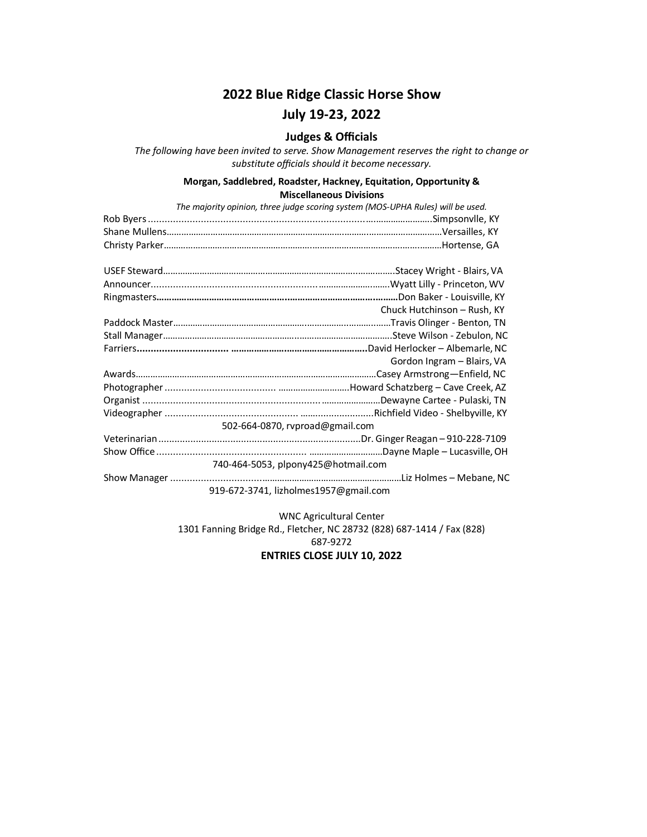## **2022 Blue Ridge Classic Horse Show July 19-23, 2022**

#### **Judges & Officials**

*The following have been invited to serve. Show Management reserves the right to change or substitute officials should it become necessary.*

#### **Morgan, Saddlebred, Roadster, Hackney, Equitation, Opportunity & Miscellaneous Divisions**

|  | The majority opinion, three judge scoring system (MOS-UPHA Rules) will be used. |
|--|---------------------------------------------------------------------------------|
|  |                                                                                 |
|  |                                                                                 |
|  |                                                                                 |
|  |                                                                                 |
|  |                                                                                 |
|  |                                                                                 |
|  | Chuck Hutchinson - Rush, KY                                                     |
|  |                                                                                 |
|  |                                                                                 |
|  |                                                                                 |
|  | Gordon Ingram - Blairs, VA                                                      |
|  |                                                                                 |
|  |                                                                                 |
|  |                                                                                 |
|  |                                                                                 |
|  | 502-664-0870, rvproad@gmail.com                                                 |
|  |                                                                                 |
|  |                                                                                 |
|  | 740-464-5053, plpony425@hotmail.com                                             |
|  |                                                                                 |
|  | 919-672-3741, lizholmes1957@gmail.com                                           |
|  |                                                                                 |

WNC Agricultural Center 1301 Fanning Bridge Rd., Fletcher, NC 28732 (828) 687‐1414 / Fax (828) 687‐9272 **ENTRIES CLOSE JULY 10, 2022**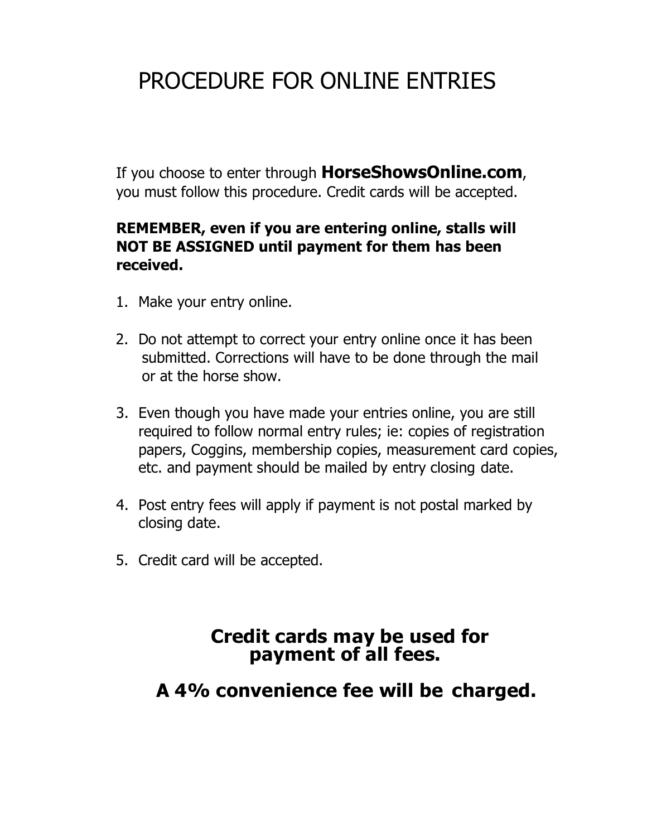# PROCEDURE FOR ONLINE ENTRIES

If you choose to enter through **HorseShowsOnline.com**, you must follow this procedure. Credit cards will be accepted.

### **REMEMBER, even if you are entering online, stalls will NOT BE ASSIGNED until payment for them has been received.**

- 1. Make your entry online.
- 2. Do not attempt to correct your entry online once it has been submitted. Corrections will have to be done through the mail or at the horse show.
- 3. Even though you have made your entries online, you are still required to follow normal entry rules; ie: copies of registration papers, Coggins, membership copies, measurement card copies, etc. and payment should be mailed by entry closing date.
- 4. Post entry fees will apply if payment is not postal marked by closing date.
- 5. Credit card will be accepted.

# **Credit cards may be used for payment of all fees.**

# **A 4% convenience fee will be charged.**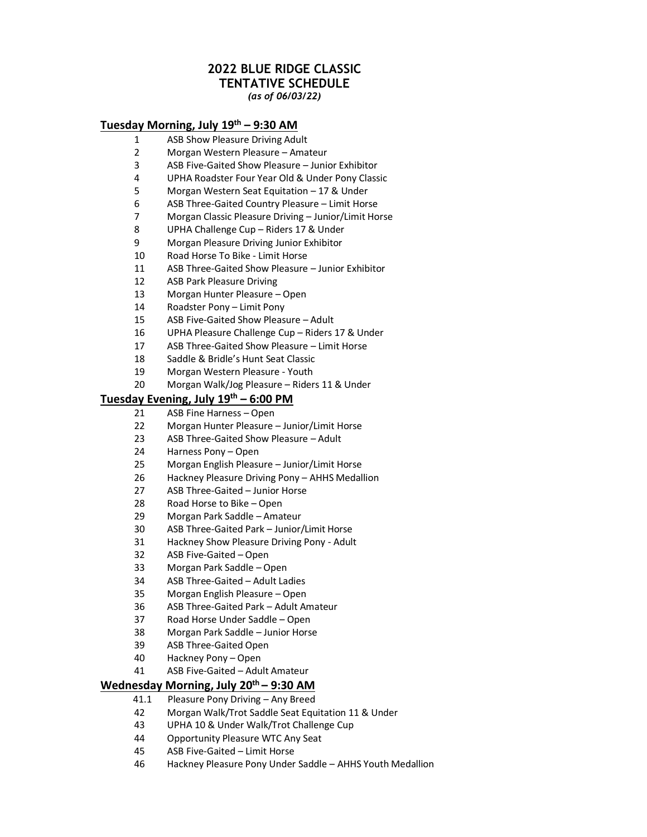#### **2022 BLUE RIDGE CLASSIC TENTATIVE SCHEDULE** *(as of 06/03/22)*

#### **Tuesday Morning, July 19th – 9:30 AM**

- ASB Show Pleasure Driving Adult
- Morgan Western Pleasure Amateur
- ASB Five‐Gaited Show Pleasure Junior Exhibitor
- UPHA Roadster Four Year Old & Under Pony Classic
- Morgan Western Seat Equitation 17 & Under
- ASB Three-Gaited Country Pleasure Limit Horse
- Morgan Classic Pleasure Driving Junior/Limit Horse
- UPHA Challenge Cup Riders 17 & Under
- Morgan Pleasure Driving Junior Exhibitor
- 10 Road Horse To Bike Limit Horse
- ASB Three‐Gaited Show Pleasure Junior Exhibitor
- ASB Park Pleasure Driving
- Morgan Hunter Pleasure Open
- Roadster Pony Limit Pony
- ASB Five‐Gaited Show Pleasure Adult
- UPHA Pleasure Challenge Cup Riders 17 & Under
- ASB Three-Gaited Show Pleasure Limit Horse
- Saddle & Bridle's Hunt Seat Classic
- Morgan Western Pleasure Youth
- Morgan Walk/Jog Pleasure Riders 11 & Under

#### **Tuesday Evening, July 19th – 6:00 PM**

- ASB Fine Harness Open
- Morgan Hunter Pleasure Junior/Limit Horse
- ASB Three‐Gaited Show Pleasure Adult
- Harness Pony Open
- Morgan English Pleasure Junior/Limit Horse
- Hackney Pleasure Driving Pony AHHS Medallion
- ASB Three‐Gaited Junior Horse
- Road Horse to Bike Open
- Morgan Park Saddle Amateur
- ASB Three‐Gaited Park Junior/Limit Horse
- Hackney Show Pleasure Driving Pony Adult
- ASB Five‐Gaited Open
- Morgan Park Saddle Open
- ASB Three‐Gaited Adult Ladies
- Morgan English Pleasure Open
- ASB Three‐Gaited Park Adult Amateur
- Road Horse Under Saddle Open
- Morgan Park Saddle Junior Horse
- ASB Three‐Gaited Open
- Hackney Pony Open
- ASB Five‐Gaited Adult Amateur

#### **Wednesday Morning, July 20th – 9:30 AM**

- 41.1 Pleasure Pony Driving Any Breed
- Morgan Walk/Trot Saddle Seat Equitation 11 & Under
- UPHA 10 & Under Walk/Trot Challenge Cup
- Opportunity Pleasure WTC Any Seat
- ASB Five-Gaited Limit Horse
- Hackney Pleasure Pony Under Saddle AHHS Youth Medallion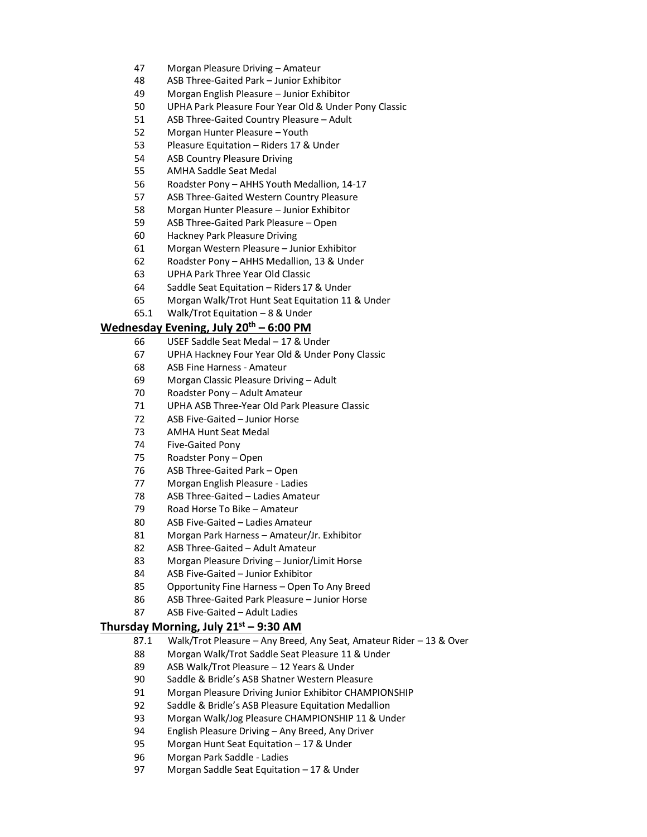- Morgan Pleasure Driving Amateur
- ASB Three‐Gaited Park Junior Exhibitor
- Morgan English Pleasure Junior Exhibitor
- UPHA Park Pleasure Four Year Old & Under Pony Classic
- 51 ASB Three-Gaited Country Pleasure Adult
- Morgan Hunter Pleasure Youth
- Pleasure Equitation Riders 17 & Under
- ASB Country Pleasure Driving
- AMHA Saddle Seat Medal
- Roadster Pony AHHS Youth Medallion, 14-17
- ASB Three‐Gaited Western Country Pleasure
- Morgan Hunter Pleasure Junior Exhibitor
- ASB Three‐Gaited Park Pleasure Open
- Hackney Park Pleasure Driving
- Morgan Western Pleasure Junior Exhibitor
- Roadster Pony AHHS Medallion, 13 & Under
- UPHA Park Three Year Old Classic
- Saddle Seat Equitation Riders17 & Under
- Morgan Walk/Trot Hunt Seat Equitation 11 & Under
- 65.1 Walk/Trot Equitation 8 & Under

#### **Wednesday Evening, July 20 th – 6:00 PM**

- USEF Saddle Seat Medal 17 & Under
- UPHA Hackney Four Year Old & Under Pony Classic
- ASB Fine Harness ‐ Amateur
- Morgan Classic Pleasure Driving Adult
- Roadster Pony Adult Amateur
- UPHA ASB Three‐Year Old Park Pleasure Classic
- 72 ASB Five-Gaited Junior Horse
- AMHA Hunt Seat Medal
- Five‐Gaited Pony
- Roadster Pony Open
- 76 ASB Three-Gaited Park Open
- Morgan English Pleasure ‐ Ladies
- 78 ASB Three-Gaited Ladies Amateur
- Road Horse To Bike Amateur
- 80 ASB Five-Gaited Ladies Amateur
- Morgan Park Harness Amateur/Jr. Exhibitor
- 82 ASB Three-Gaited Adult Amateur
- Morgan Pleasure Driving Junior/Limit Horse
- 84 ASB Five-Gaited Junior Exhibitor
- Opportunity Fine Harness Open To Any Breed
- 86 ASB Three-Gaited Park Pleasure Junior Horse
- 87 ASB Five-Gaited Adult Ladies

#### **Thursday Morning, July 21st – 9:30 AM**

- 87.1 Walk/Trot Pleasure Any Breed, Any Seat, Amateur Rider 13 & Over
- Morgan Walk/Trot Saddle Seat Pleasure 11 & Under
- 89 ASB Walk/Trot Pleasure 12 Years & Under
- Saddle & Bridle's ASB Shatner Western Pleasure
- Morgan Pleasure Driving Junior Exhibitor CHAMPIONSHIP
- Saddle & Bridle's ASB Pleasure Equitation Medallion
- Morgan Walk/Jog Pleasure CHAMPIONSHIP 11 & Under
- English Pleasure Driving Any Breed, Any Driver
- Morgan Hunt Seat Equitation 17 & Under
- Morgan Park Saddle ‐ Ladies
- Morgan Saddle Seat Equitation 17 & Under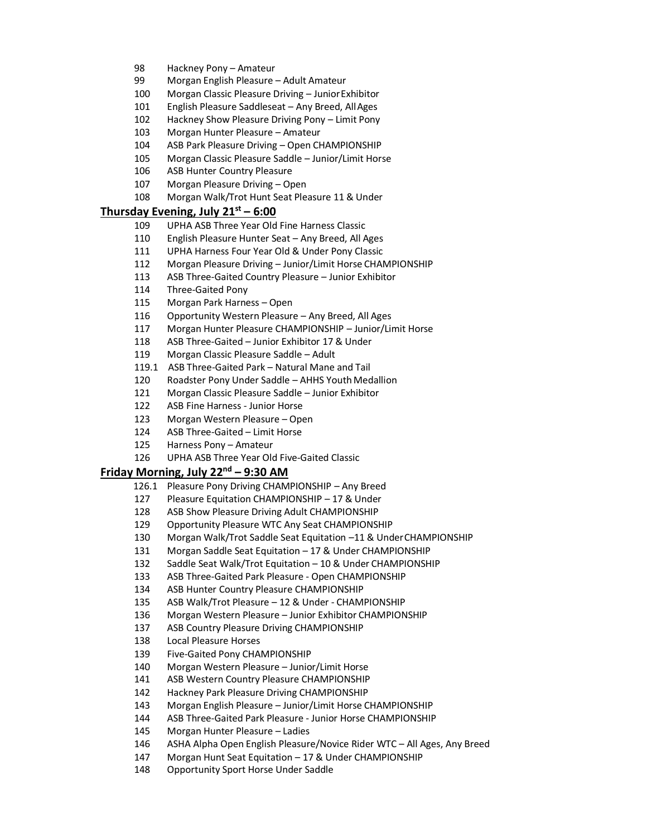- Hackney Pony Amateur
- Morgan English Pleasure Adult Amateur
- Morgan Classic Pleasure Driving JuniorExhibitor
- English Pleasure Saddleseat Any Breed, AllAges
- Hackney Show Pleasure Driving Pony Limit Pony
- Morgan Hunter Pleasure Amateur
- ASB Park Pleasure Driving Open CHAMPIONSHIP
- Morgan Classic Pleasure Saddle Junior/Limit Horse
- ASB Hunter Country Pleasure
- Morgan Pleasure Driving Open
- Morgan Walk/Trot Hunt Seat Pleasure 11 & Under

#### **Thursday Evening, July 21st – 6:00**

- UPHA ASB Three Year Old Fine Harness Classic
- English Pleasure Hunter Seat Any Breed, All Ages
- UPHA Harness Four Year Old & Under Pony Classic
- Morgan Pleasure Driving Junior/Limit Horse CHAMPIONSHIP
- 113 ASB Three-Gaited Country Pleasure Junior Exhibitor
- Three‐Gaited Pony
- Morgan Park Harness Open
- Opportunity Western Pleasure Any Breed, All Ages
- Morgan Hunter Pleasure CHAMPIONSHIP Junior/Limit Horse
- 118 ASB Three-Gaited Junior Exhibitor 17 & Under
- Morgan Classic Pleasure Saddle Adult
- 119.1 ASB Three-Gaited Park Natural Mane and Tail
- Roadster Pony Under Saddle AHHS Youth Medallion
- Morgan Classic Pleasure Saddle Junior Exhibitor
- ASB Fine Harness ‐ Junior Horse
- Morgan Western Pleasure Open
- ASB Three-Gaited Limit Horse
- Harness Pony Amateur
- UPHA ASB Three Year Old Five‐Gaited Classic

#### **Friday Morning, July 22<sup>nd</sup> – 9:30 AM**

- 126.1 Pleasure Pony Driving CHAMPIONSHIP Any Breed
- Pleasure Equitation CHAMPIONSHIP 17 & Under
- ASB Show Pleasure Driving Adult CHAMPIONSHIP
- Opportunity Pleasure WTC Any Seat CHAMPIONSHIP
- Morgan Walk/Trot Saddle Seat Equitation –11 & UnderCHAMPIONSHIP
- Morgan Saddle Seat Equitation 17 & Under CHAMPIONSHIP
- Saddle Seat Walk/Trot Equitation 10 & Under CHAMPIONSHIP
- ASB Three‐Gaited Park Pleasure ‐ Open CHAMPIONSHIP
- ASB Hunter Country Pleasure CHAMPIONSHIP
- ASB Walk/Trot Pleasure 12 & Under ‐ CHAMPIONSHIP
- Morgan Western Pleasure Junior Exhibitor CHAMPIONSHIP
- ASB Country Pleasure Driving CHAMPIONSHIP
- Local Pleasure Horses
- Five‐Gaited Pony CHAMPIONSHIP
- Morgan Western Pleasure Junior/Limit Horse
- ASB Western Country Pleasure CHAMPIONSHIP
- Hackney Park Pleasure Driving CHAMPIONSHIP
- Morgan English Pleasure Junior/Limit Horse CHAMPIONSHIP
- ASB Three‐Gaited Park Pleasure ‐ Junior Horse CHAMPIONSHIP
- 145 Morgan Hunter Pleasure Ladies<br>146 ASHA Alpha Open English Pleasure
- ASHA Alpha Open English Pleasure/Novice Rider WTC All Ages, Any Breed
- Morgan Hunt Seat Equitation 17 & Under CHAMPIONSHIP
- Opportunity Sport Horse Under Saddle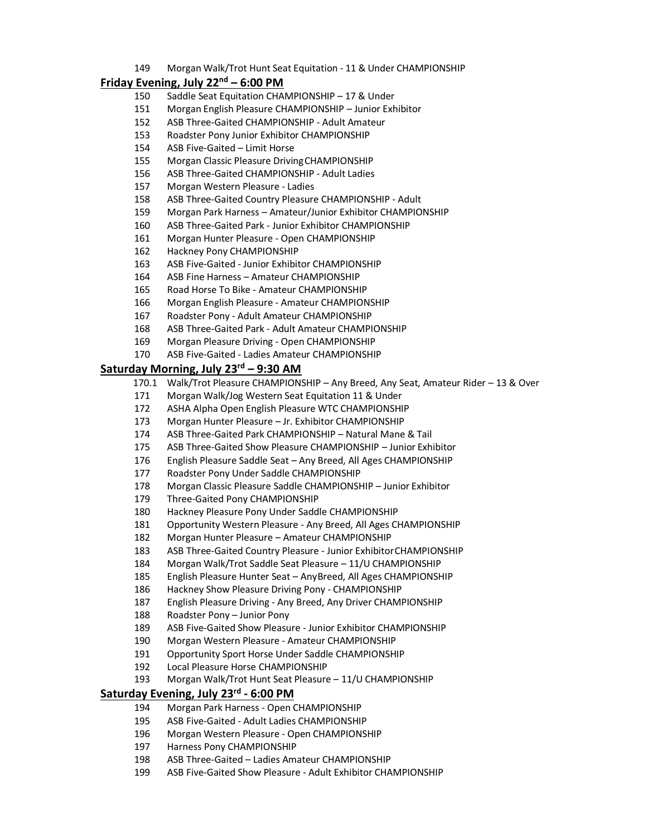Morgan Walk/Trot Hunt Seat Equitation ‐ 11 & Under CHAMPIONSHIP

#### **Friday Evening, July 22 nd – 6:00 PM**

- Saddle Seat Equitation CHAMPIONSHIP 17 & Under
- Morgan English Pleasure CHAMPIONSHIP Junior Exhibitor
- ASB Three‐Gaited CHAMPIONSHIP ‐ Adult Amateur
- Roadster Pony Junior Exhibitor CHAMPIONSHIP
- ASB Five-Gaited Limit Horse
- Morgan Classic Pleasure DrivingCHAMPIONSHIP
- ASB Three‐Gaited CHAMPIONSHIP ‐ Adult Ladies
- Morgan Western Pleasure ‐ Ladies
- ASB Three‐Gaited Country Pleasure CHAMPIONSHIP ‐ Adult
- Morgan Park Harness Amateur/Junior Exhibitor CHAMPIONSHIP
- ASB Three‐Gaited Park ‐ Junior Exhibitor CHAMPIONSHIP
- 161 Morgan Hunter Pleasure Open CHAMPIONSHIP
- Hackney Pony CHAMPIONSHIP
- ASB Five‐Gaited ‐ Junior Exhibitor CHAMPIONSHIP
- ASB Fine Harness Amateur CHAMPIONSHIP
- Road Horse To Bike ‐ Amateur CHAMPIONSHIP
- Morgan English Pleasure ‐ Amateur CHAMPIONSHIP
- Roadster Pony ‐ Adult Amateur CHAMPIONSHIP
- ASB Three‐Gaited Park ‐ Adult Amateur CHAMPIONSHIP
- Morgan Pleasure Driving ‐ Open CHAMPIONSHIP
- 170 ASB Five-Gaited Ladies Amateur CHAMPIONSHIP

#### **Saturday Morning, July 23rd – 9:30 AM**

- 170.1 Walk/Trot Pleasure CHAMPIONSHIP Any Breed, Any Seat, Amateur Rider 13 & Over
- Morgan Walk/Jog Western Seat Equitation 11 & Under
- ASHA Alpha Open English Pleasure WTC CHAMPIONSHIP
- Morgan Hunter Pleasure Jr. Exhibitor CHAMPIONSHIP
- ASB Three-Gaited Park CHAMPIONSHIP Natural Mane & Tail
- ASB Three‐Gaited Show Pleasure CHAMPIONSHIP Junior Exhibitor
- English Pleasure Saddle Seat Any Breed, All Ages CHAMPIONSHIP
- Roadster Pony Under Saddle CHAMPIONSHIP
- Morgan Classic Pleasure Saddle CHAMPIONSHIP Junior Exhibitor
- 179 Three-Gaited Pony CHAMPIONSHIP
- Hackney Pleasure Pony Under Saddle CHAMPIONSHIP
- Opportunity Western Pleasure ‐ Any Breed, All Ages CHAMPIONSHIP
- Morgan Hunter Pleasure Amateur CHAMPIONSHIP
- ASB Three‐Gaited Country Pleasure ‐ Junior ExhibitorCHAMPIONSHIP
- Morgan Walk/Trot Saddle Seat Pleasure 11/U CHAMPIONSHIP
- English Pleasure Hunter Seat AnyBreed, All Ages CHAMPIONSHIP
- Hackney Show Pleasure Driving Pony ‐ CHAMPIONSHIP
- English Pleasure Driving ‐ Any Breed, Any Driver CHAMPIONSHIP
- Roadster Pony Junior Pony
- 189 ASB Five-Gaited Show Pleasure Junior Exhibitor CHAMPIONSHIP
- Morgan Western Pleasure ‐ Amateur CHAMPIONSHIP
- Opportunity Sport Horse Under Saddle CHAMPIONSHIP
- 
- 192 Local Pleasure Horse CHAMPIONSHIP<br>193 Morgan Walk/Trot Hunt Seat Pleasure Morgan Walk/Trot Hunt Seat Pleasure – 11/U CHAMPIONSHIP

#### **Saturday Evening, July 23rd ‐ 6:00 PM**

- Morgan Park Harness ‐ Open CHAMPIONSHIP
- ASB Five‐Gaited ‐ Adult Ladies CHAMPIONSHIP
- Morgan Western Pleasure ‐ Open CHAMPIONSHIP
- Harness Pony CHAMPIONSHIP
- ASB Three‐Gaited Ladies Amateur CHAMPIONSHIP
- ASB Five‐Gaited Show Pleasure ‐ Adult Exhibitor CHAMPIONSHIP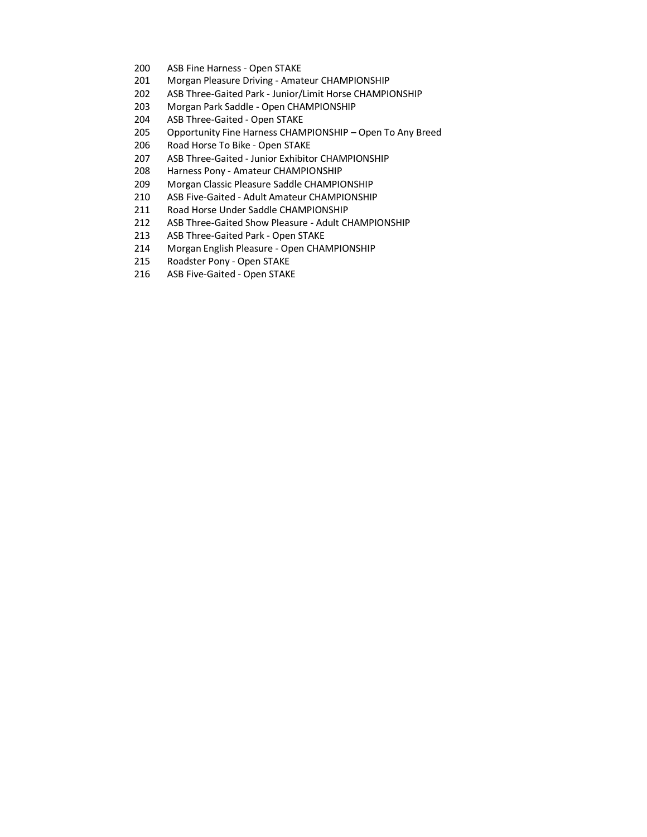- ASB Fine Harness ‐ Open STAKE
- 201 Morgan Pleasure Driving Amateur CHAMPIONSHIP
- ASB Three‐Gaited Park ‐ Junior/Limit Horse CHAMPIONSHIP
- Morgan Park Saddle ‐ Open CHAMPIONSHIP
- ASB Three‐Gaited ‐ Open STAKE
- Opportunity Fine Harness CHAMPIONSHIP Open To Any Breed
- 206 Road Horse To Bike Open STAKE<br>207 ASB Three-Gaited Junior Exhibito
- ASB Three-Gaited Junior Exhibitor CHAMPIONSHIP
- Harness Pony ‐ Amateur CHAMPIONSHIP
- Morgan Classic Pleasure Saddle CHAMPIONSHIP
- ASB Five‐Gaited ‐ Adult Amateur CHAMPIONSHIP
- Road Horse Under Saddle CHAMPIONSHIP
- ASB Three‐Gaited Show Pleasure ‐ Adult CHAMPIONSHIP
- 213 ASB Three-Gaited Park Open STAKE
- 214 Morgan English Pleasure Open CHAMPIONSHIP<br>215 Roadster Pony Open STAKE
- Roadster Pony Open STAKE
- ASB Five‐Gaited ‐ Open STAKE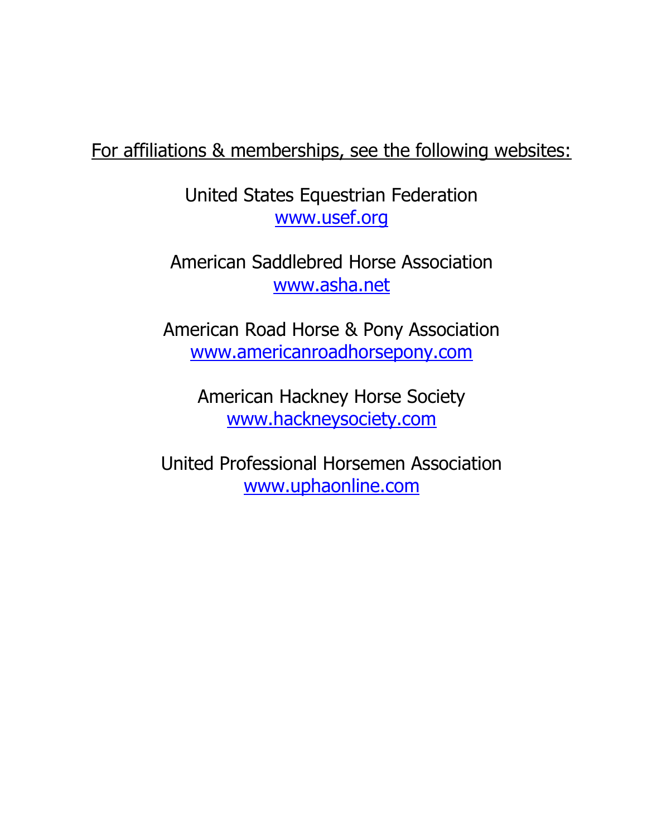# For affiliations & memberships, see the following websites:

United States Equestrian Federation [www.usef.org](http://www.usef.org/)

American Saddlebred Horse Association [www.asha.net](http://www.asha.net/)

American Road Horse & Pony Association [www.americanroadhorsepony.com](http://www.americanroadhorsepony.com/)

> American Hackney Horse Society [www.hackneysociety.com](http://www.hackneysociety.com/)

United Professional Horsemen Association [www.uphaonline.com](http://www.uphaonline.com/)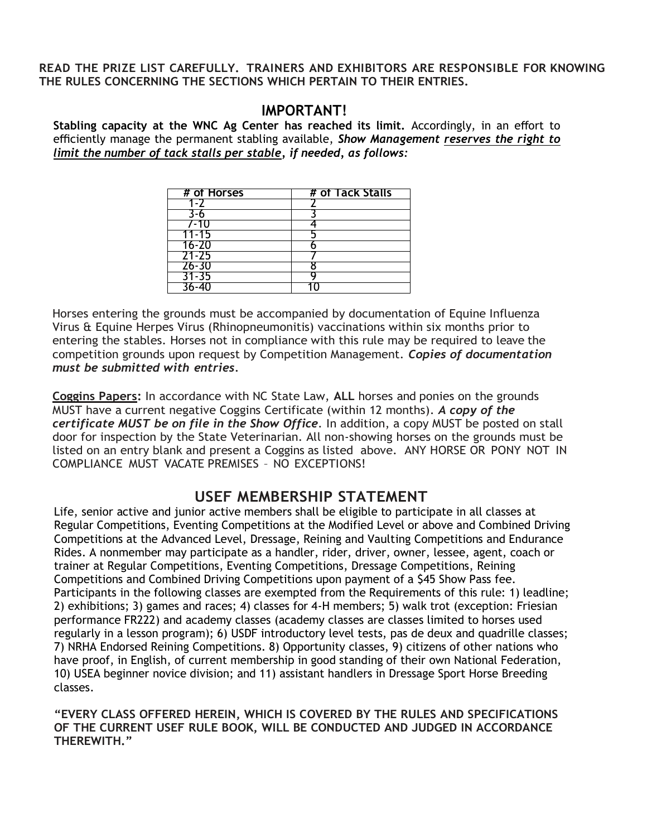**READ THE PRIZE LIST CAREFULLY. TRAINERS AND EXHIBITORS ARE RESPONSIBLE FOR KNOWING THE RULES CONCERNING THE SECTIONS WHICH PERTAIN TO THEIR ENTRIES.** 

### **IMPORTANT!**

**Stabling capacity at the WNC Ag Center has reached its limit.** Accordingly, in an effort to efficiently manage the permanent stabling available, *Show Management reserves the right to limit the number of tack stalls per stable, if needed, as follows:*

| # of Horses | # of Tack Stalls |
|-------------|------------------|
|             |                  |
|             |                  |
|             |                  |
| 11-15       |                  |
| 16-20       |                  |
| $21 - 25$   |                  |
| $26 - 30$   |                  |
| 31-35       |                  |
|             |                  |

Horses entering the grounds must be accompanied by documentation of Equine Influenza Virus & Equine Herpes Virus (Rhinopneumonitis) vaccinations within six months prior to entering the stables. Horses not in compliance with this rule may be required to leave the competition grounds upon request by Competition Management. *Copies of documentation must be submitted with entries.*

**Coggins Papers:** In accordance with NC State Law, **ALL** horses and ponies on the grounds MUST have a current negative Coggins Certificate (within 12 months). *A copy of the certificate MUST be on file in the Show Office*. In addition, a copy MUST be posted on stall door for inspection by the State Veterinarian. All non-showing horses on the grounds must be listed on an entry blank and present a Coggins as listed above. ANY HORSE OR PONY NOT IN COMPLIANCE MUST VACATE PREMISES – NO EXCEPTIONS!

### **USEF MEMBERSHIP STATEMENT**

Life, senior active and junior active members shall be eligible to participate in all classes at Regular Competitions, Eventing Competitions at the Modified Level or above and Combined Driving Competitions at the Advanced Level, Dressage, Reining and Vaulting Competitions and Endurance Rides. A nonmember may participate as a handler, rider, driver, owner, lessee, agent, coach or trainer at Regular Competitions, Eventing Competitions, Dressage Competitions, Reining Competitions and Combined Driving Competitions upon payment of a \$45 Show Pass fee. Participants in the following classes are exempted from the Requirements of this rule: 1) leadline; 2) exhibitions; 3) games and races; 4) classes for 4-H members; 5) walk trot (exception: Friesian performance FR222) and academy classes (academy classes are classes limited to horses used regularly in a lesson program); 6) USDF introductory level tests, pas de deux and quadrille classes; 7) NRHA Endorsed Reining Competitions. 8) Opportunity classes, 9) citizens of other nations who have proof, in English, of current membership in good standing of their own National Federation, 10) USEA beginner novice division; and 11) assistant handlers in Dressage Sport Horse Breeding classes.

**"EVERY CLASS OFFERED HEREIN, WHICH IS COVERED BY THE RULES AND SPECIFICATIONS OF THE CURRENT USEF RULE BOOK, WILL BE CONDUCTED AND JUDGED IN ACCORDANCE THEREWITH."**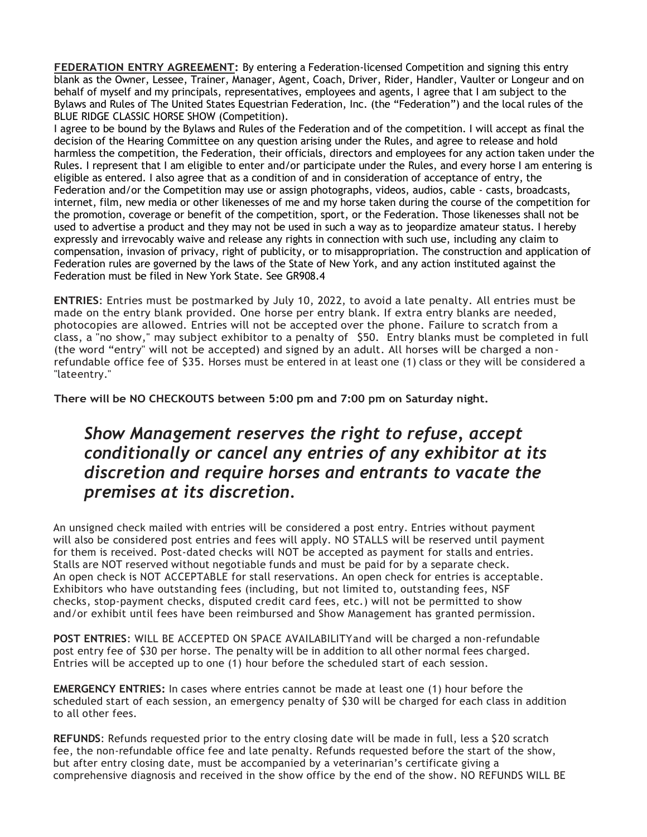**FEDERATION ENTRY AGREEMENT:** By entering a Federation-licensed Competition and signing this entry blank as the Owner, Lessee, Trainer, Manager, Agent, Coach, Driver, Rider, Handler, Vaulter or Longeur and on behalf of myself and my principals, representatives, employees and agents, I agree that I am subject to the Bylaws and Rules of The United States Equestrian Federation, Inc. (the "Federation") and the local rules of the BLUE RIDGE CLASSIC HORSE SHOW (Competition).

I agree to be bound by the Bylaws and Rules of the Federation and of the competition. I will accept as final the decision of the Hearing Committee on any question arising under the Rules, and agree to release and hold harmless the competition, the Federation, their officials, directors and employees for any action taken under the Rules. I represent that I am eligible to enter and/or participate under the Rules, and every horse I am entering is eligible as entered. I also agree that as a condition of and in consideration of acceptance of entry, the Federation and/or the Competition may use or assign photographs, videos, audios, cable - casts, broadcasts, internet, film, new media or other likenesses of me and my horse taken during the course of the competition for the promotion, coverage or benefit of the competition, sport, or the Federation. Those likenesses shall not be used to advertise a product and they may not be used in such a way as to jeopardize amateur status. I hereby expressly and irrevocably waive and release any rights in connection with such use, including any claim to compensation, invasion of privacy, right of publicity, or to misappropriation. The construction and application of Federation rules are governed by the laws of the State of New York, and any action instituted against the Federation must be filed in New York State. See GR908.4

**ENTRIES**: Entries must be postmarked by July 10, 2022, to avoid a late penalty. All entries must be made on the entry blank provided. One horse per entry blank. If extra entry blanks are needed, photocopies are allowed. Entries will not be accepted over the phone. Failure to scratch from a class, a "no show," may subject exhibitor to a penalty of \$50. Entry blanks must be completed in full (the word "entry" will not be accepted) and signed by an adult. All horses will be charged a nonrefundable office fee of \$35. Horses must be entered in at least one (1) class or they will be considered a "lateentry."

**There will be NO CHECKOUTS between 5:00 pm and 7:00 pm on Saturday night.**

## *Show Management reserves the right to refuse, accept conditionally or cancel any entries of any exhibitor at its discretion and require horses and entrants to vacate the premises at its discretion.*

An unsigned check mailed with entries will be considered a post entry. Entries without payment will also be considered post entries and fees will apply. NO STALLS will be reserved until payment for them is received. Post-dated checks will NOT be accepted as payment for stalls and entries. Stalls are NOT reserved without negotiable funds and must be paid for by a separate check. An open check is NOT ACCEPTABLE for stall reservations. An open check for entries is acceptable. Exhibitors who have outstanding fees (including, but not limited to, outstanding fees, NSF checks, stop-payment checks, disputed credit card fees, etc.) will not be permitted to show and/or exhibit until fees have been reimbursed and Show Management has granted permission.

**POST ENTRIES**: WILL BE ACCEPTED ON SPACE AVAILABILITYand will be charged a non-refundable post entry fee of \$30 per horse. The penalty will be in addition to all other normal fees charged. Entries will be accepted up to one (1) hour before the scheduled start of each session.

**EMERGENCY ENTRIES:** In cases where entries cannot be made at least one (1) hour before the scheduled start of each session, an emergency penalty of \$30 will be charged for each class in addition to all other fees.

**REFUNDS**: Refunds requested prior to the entry closing date will be made in full, less a \$20 scratch fee, the non-refundable office fee and late penalty. Refunds requested before the start of the show, but after entry closing date, must be accompanied by a veterinarian's certificate giving a comprehensive diagnosis and received in the show office by the end of the show. NO REFUNDS WILL BE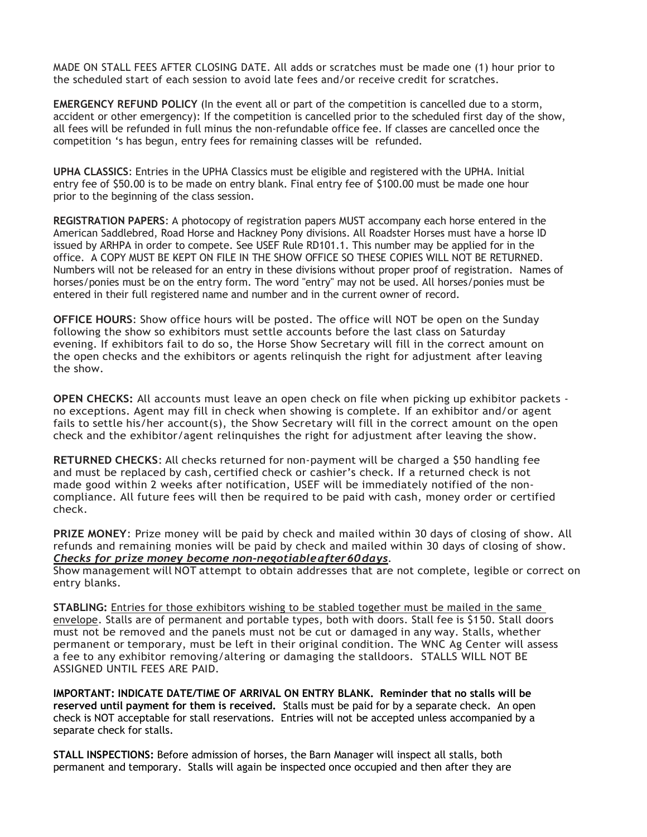MADE ON STALL FEES AFTER CLOSING DATE. All adds or scratches must be made one (1) hour prior to the scheduled start of each session to avoid late fees and/or receive credit for scratches.

**EMERGENCY REFUND POLICY** (In the event all or part of the competition is cancelled due to a storm, accident or other emergency): If the competition is cancelled prior to the scheduled first day of the show, all fees will be refunded in full minus the non-refundable office fee. If classes are cancelled once the competition 's has begun, entry fees for remaining classes will be refunded.

**UPHA CLASSICS**: Entries in the UPHA Classics must be eligible and registered with the UPHA. Initial entry fee of \$50.00 is to be made on entry blank. Final entry fee of \$100.00 must be made one hour prior to the beginning of the class session.

**REGISTRATION PAPERS**: A photocopy of registration papers MUST accompany each horse entered in the American Saddlebred, Road Horse and Hackney Pony divisions. All Roadster Horses must have a horse ID issued by ARHPA in order to compete. See USEF Rule RD101.1. This number may be applied for in the office. A COPY MUST BE KEPT ON FILE IN THE SHOW OFFICE SO THESE COPIES WILL NOT BE RETURNED. Numbers will not be released for an entry in these divisions without proper proof of registration. Names of horses/ponies must be on the entry form. The word "entry" may not be used. All horses/ponies must be entered in their full registered name and number and in the current owner of record.

**OFFICE HOURS**: Show office hours will be posted. The office will NOT be open on the Sunday following the show so exhibitors must settle accounts before the last class on Saturday evening. If exhibitors fail to do so, the Horse Show Secretary will fill in the correct amount on the open checks and the exhibitors or agents relinquish the right for adjustment after leaving the show.

**OPEN CHECKS:** All accounts must leave an open check on file when picking up exhibitor packets no exceptions. Agent may fill in check when showing is complete. If an exhibitor and/or agent fails to settle his/her account(s), the Show Secretary will fill in the correct amount on the open check and the exhibitor/agent relinquishes the right for adjustment after leaving the show.

**RETURNED CHECKS**: All checks returned for non-payment will be charged a \$50 handling fee and must be replaced by cash, certified check or cashier's check. If a returned check is not made good within 2 weeks after notification, USEF will be immediately notified of the noncompliance. All future fees will then be required to be paid with cash, money order or certified check.

**PRIZE MONEY**: Prize money will be paid by check and mailed within 30 days of closing of show. All refunds and remaining monies will be paid by check and mailed within 30 days of closing of show. *Checks for prize money become non-negotiableafter60days.*

Show management will NOT attempt to obtain addresses that are not complete, legible or correct on entry blanks.

**STABLING:** Entries for those exhibitors wishing to be stabled together must be mailed in the same envelope. Stalls are of permanent and portable types, both with doors. Stall fee is \$150. Stall doors must not be removed and the panels must not be cut or damaged in any way. Stalls, whether permanent or temporary, must be left in their original condition. The WNC Ag Center will assess a fee to any exhibitor removing/altering or damaging the stalldoors. STALLS WILL NOT BE ASSIGNED UNTIL FEES ARE PAID.

**IMPORTANT: INDICATE DATE/TIME OF ARRIVAL ON ENTRY BLANK. Reminder that no stalls will be reserved until payment for them is received.** Stalls must be paid for by a separate check. An open check is NOT acceptable for stall reservations. Entries will not be accepted unless accompanied by a separate check for stalls.

**STALL INSPECTIONS:** Before admission of horses, the Barn Manager will inspect all stalls, both permanent and temporary. Stalls will again be inspected once occupied and then after they are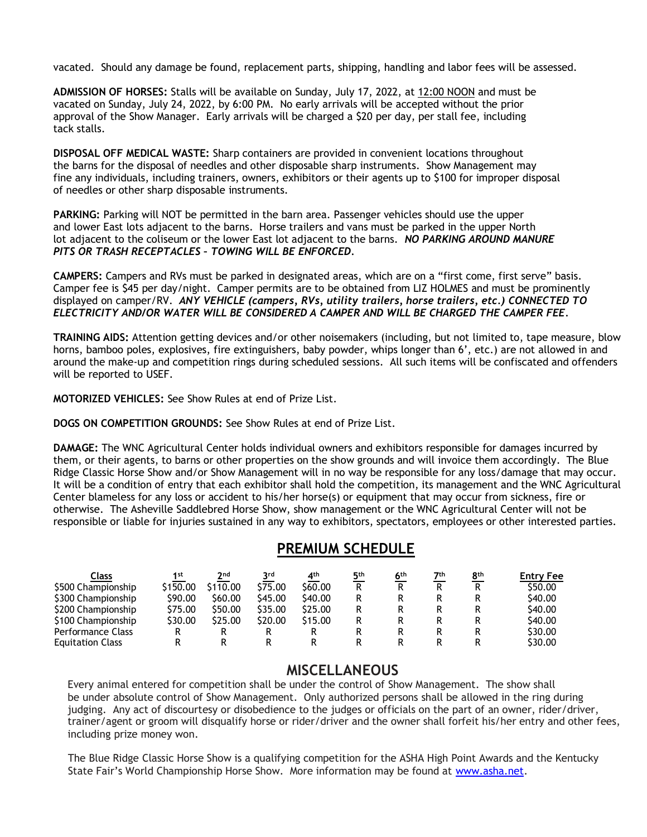vacated. Should any damage be found, replacement parts, shipping, handling and labor fees will be assessed.

**ADMISSION OF HORSES:** Stalls will be available on Sunday, July 17, 2022, at 12:00 NOON and must be vacated on Sunday, July 24, 2022, by 6:00 PM. No early arrivals will be accepted without the prior approval of the Show Manager. Early arrivals will be charged a \$20 per day, per stall fee, including tack stalls.

**DISPOSAL OFF MEDICAL WASTE:** Sharp containers are provided in convenient locations throughout the barns for the disposal of needles and other disposable sharp instruments. Show Management may fine any individuals, including trainers, owners, exhibitors or their agents up to \$100 for improper disposal of needles or other sharp disposable instruments.

**PARKING:** Parking will NOT be permitted in the barn area. Passenger vehicles should use the upper and lower East lots adjacent to the barns. Horse trailers and vans must be parked in the upper North lot adjacent to the coliseum or the lower East lot adjacent to the barns. *NO PARKING AROUND MANURE PITS OR TRASH RECEPTACLES – TOWING WILL BE ENFORCED.*

**CAMPERS:** Campers and RVs must be parked in designated areas, which are on a "first come, first serve" basis. Camper fee is \$45 per day/night. Camper permits are to be obtained from LIZ HOLMES and must be prominently displayed on camper/RV. *ANY VEHICLE (campers, RVs, utility trailers, horse trailers, etc.) CONNECTED TO ELECTRICITY AND/OR WATER WILL BE CONSIDERED A CAMPER AND WILL BE CHARGED THE CAMPER FEE.*

**TRAINING AIDS:** Attention getting devices and/or other noisemakers (including, but not limited to, tape measure, blow horns, bamboo poles, explosives, fire extinguishers, baby powder, whips longer than 6', etc.) are not allowed in and around the make-up and competition rings during scheduled sessions. All such items will be confiscated and offenders will be reported to USEF.

**MOTORIZED VEHICLES:** See Show Rules at end of Prize List.

**DOGS ON COMPETITION GROUNDS:** See Show Rules at end of Prize List.

**DAMAGE:** The WNC Agricultural Center holds individual owners and exhibitors responsible for damages incurred by them, or their agents, to barns or other properties on the show grounds and will invoice them accordingly. The Blue Ridge Classic Horse Show and/or Show Management will in no way be responsible for any loss/damage that may occur. It will be a condition of entry that each exhibitor shall hold the competition, its management and the WNC Agricultural Center blameless for any loss or accident to his/her horse(s) or equipment that may occur from sickness, fire or otherwise. The Asheville Saddlebred Horse Show, show management or the WNC Agricultural Center will not be responsible or liable for injuries sustained in any way to exhibitors, spectators, employees or other interested parties.

### **PREMIUM SCHEDULE**

| Class                   | 1st      | <b>o</b> nd | <b>a</b> rd | 4 <sup>th</sup>     | цth | 6 <sup>th</sup> | 7th | 8 <sup>th</sup> | <b>Entry Fee</b>    |
|-------------------------|----------|-------------|-------------|---------------------|-----|-----------------|-----|-----------------|---------------------|
| \$500 Championship      | \$150.00 | \$110.00    | \$75.00     | \$60.00             |     |                 |     | R               | \$50.00             |
| \$300 Championship      | \$90.00  | \$60.00     | S45.00      | S40.00              |     |                 |     |                 | S <sub>40</sub> .00 |
| \$200 Championship      | \$75.00  | \$50.00     | \$35.00     | \$25.00             |     |                 |     |                 | S <sub>40</sub> .00 |
| \$100 Championship      | \$30.00  | \$25.00     | \$20.00     | S <sub>15</sub> .00 |     |                 |     |                 | S40.00              |
| Performance Class       |          |             |             |                     |     |                 |     |                 | \$30.00             |
| <b>Equitation Class</b> |          |             |             |                     |     |                 |     |                 | \$30.00             |

### **MISCELLANEOUS**

Every animal entered for competition shall be under the control of Show Management. The show shall be under absolute control of Show Management. Only authorized persons shall be allowed in the ring during judging. Any act of discourtesy or disobedience to the judges or officials on the part of an owner, rider/driver, trainer/agent or groom will disqualify horse or rider/driver and the owner shall forfeit his/her entry and other fees, including prize money won.

The Blue Ridge Classic Horse Show is a qualifying competition for the ASHA High Point Awards and the Kentucky State Fair's World Championship Horse Show. More information may be found at [www.asha.net.](http://www.asha.net/)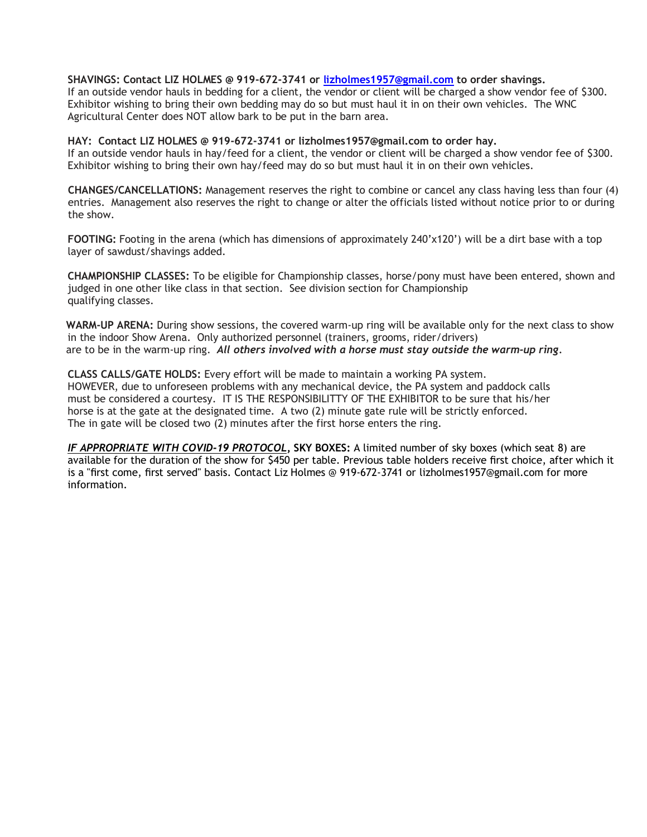#### **SHAVINGS: Contact LIZ HOLMES @ 919-672-3741 or [lizholmes1957@gmail.com](mailto:lizholmes1957@gmail.com) to order shavings.**

If an outside vendor hauls in bedding for a client, the vendor or client will be charged a show vendor fee of \$300. Exhibitor wishing to bring their own bedding may do so but must haul it in on their own vehicles. The WNC Agricultural Center does NOT allow bark to be put in the barn area.

#### **HAY: Contact LIZ HOLMES @ 919-672-3741 or lizholmes1957@gmail.com to order hay.**

If an outside vendor hauls in hay/feed for a client, the vendor or client will be charged a show vendor fee of \$300. Exhibitor wishing to bring their own hay/feed may do so but must haul it in on their own vehicles.

**CHANGES/CANCELLATIONS:** Management reserves the right to combine or cancel any class having less than four (4) entries. Management also reserves the right to change or alter the officials listed without notice prior to or during the show.

**FOOTING:** Footing in the arena (which has dimensions of approximately 240'x120') will be a dirt base with a top layer of sawdust/shavings added.

**CHAMPIONSHIP CLASSES:** To be eligible for Championship classes, horse/pony must have been entered, shown and judged in one other like class in that section. See division section for Championship qualifying classes.

**WARM-UP ARENA:** During show sessions, the covered warm-up ring will be available only for the next class to show in the indoor Show Arena. Only authorized personnel (trainers, grooms, rider/drivers) are to be in the warm-up ring. *All others involved with a horse must stay outside the warm-up ring.*

### **CLASS CALLS/GATE HOLDS:** Every effort will be made to maintain a working PA system.

HOWEVER, due to unforeseen problems with any mechanical device, the PA system and paddock calls must be considered a courtesy. IT IS THE RESPONSIBILITTY OF THE EXHIBITOR to be sure that his/her horse is at the gate at the designated time. A two (2) minute gate rule will be strictly enforced. The in gate will be closed two (2) minutes after the first horse enters the ring.

*IF APPROPRIATE WITH COVID-19 PROTOCOL***, SKY BOXES:** A limited number of sky boxes (which seat 8) are available for the duration of the show for \$450 per table. Previous table holders receive first choice, after which it is a "first come, first served" basis. Contact Liz Holmes @ 919‐672‐3741 or [lizholmes1957@gmail.com f](mailto:lizholmes1957@gmail.com)or more information.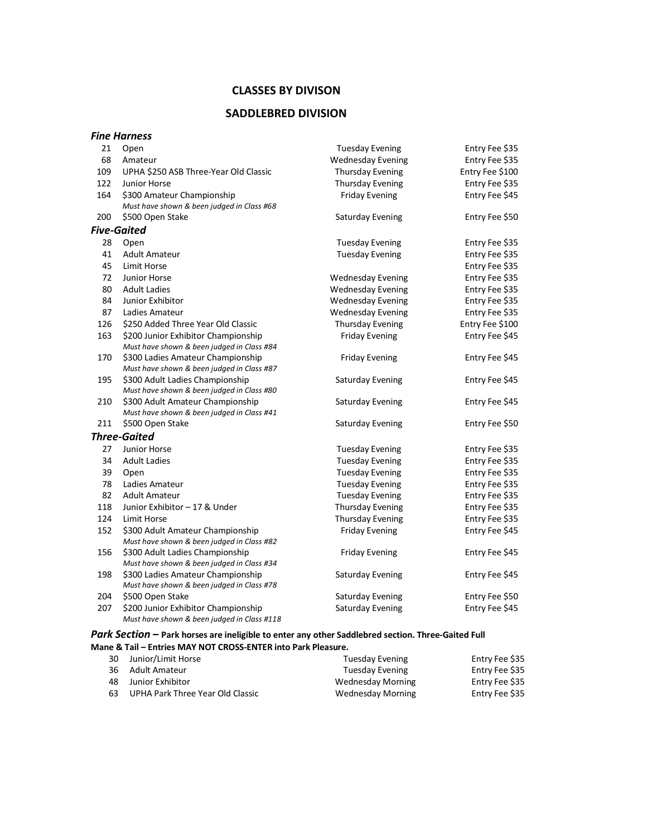#### **CLASSES BY DIVISON**

#### **SADDLEBRED DIVISION**

#### *Fine Harness*

| 21  | Open                                                                               | <b>Tuesday Evening</b>   | Entry Fee \$35  |
|-----|------------------------------------------------------------------------------------|--------------------------|-----------------|
| 68  | Amateur                                                                            | <b>Wednesday Evening</b> | Entry Fee \$35  |
| 109 | UPHA \$250 ASB Three-Year Old Classic                                              | <b>Thursday Evening</b>  | Entry Fee \$100 |
| 122 | Junior Horse                                                                       | <b>Thursday Evening</b>  | Entry Fee \$35  |
| 164 | \$300 Amateur Championship                                                         | <b>Friday Evening</b>    | Entry Fee \$45  |
|     | Must have shown & been judged in Class #68                                         |                          |                 |
| 200 | \$500 Open Stake                                                                   | Saturday Evening         | Entry Fee \$50  |
|     | Five-Gaited                                                                        |                          |                 |
| 28  | Open                                                                               | <b>Tuesday Evening</b>   | Entry Fee \$35  |
| 41  | <b>Adult Amateur</b>                                                               | <b>Tuesday Evening</b>   | Entry Fee \$35  |
| 45  | Limit Horse                                                                        |                          | Entry Fee \$35  |
| 72  | Junior Horse                                                                       | <b>Wednesday Evening</b> | Entry Fee \$35  |
| 80  | <b>Adult Ladies</b>                                                                | <b>Wednesday Evening</b> | Entry Fee \$35  |
| 84  | Junior Exhibitor                                                                   | <b>Wednesday Evening</b> | Entry Fee \$35  |
| 87  | Ladies Amateur                                                                     | <b>Wednesday Evening</b> | Entry Fee \$35  |
| 126 | \$250 Added Three Year Old Classic                                                 | <b>Thursday Evening</b>  | Entry Fee \$100 |
| 163 | \$200 Junior Exhibitor Championship                                                | <b>Friday Evening</b>    | Entry Fee \$45  |
|     | Must have shown & been judged in Class #84                                         |                          |                 |
| 170 | \$300 Ladies Amateur Championship                                                  | <b>Friday Evening</b>    | Entry Fee \$45  |
|     | Must have shown & been judged in Class #87                                         |                          |                 |
| 195 | \$300 Adult Ladies Championship                                                    | Saturday Evening         | Entry Fee \$45  |
|     | Must have shown & been judged in Class #80                                         |                          |                 |
| 210 | \$300 Adult Amateur Championship                                                   | Saturday Evening         | Entry Fee \$45  |
|     | Must have shown & been judged in Class #41                                         |                          |                 |
| 211 | \$500 Open Stake                                                                   | Saturday Evening         | Entry Fee \$50  |
|     | <b>Three-Gaited</b>                                                                |                          |                 |
| 27  | Junior Horse                                                                       | <b>Tuesday Evening</b>   | Entry Fee \$35  |
| 34  | <b>Adult Ladies</b>                                                                | <b>Tuesday Evening</b>   | Entry Fee \$35  |
| 39  | Open                                                                               | <b>Tuesday Evening</b>   | Entry Fee \$35  |
| 78  | Ladies Amateur                                                                     | <b>Tuesday Evening</b>   | Entry Fee \$35  |
| 82  | Adult Amateur                                                                      | <b>Tuesday Evening</b>   | Entry Fee \$35  |
| 118 | Junior Exhibitor - 17 & Under                                                      | <b>Thursday Evening</b>  | Entry Fee \$35  |
| 124 | Limit Horse                                                                        | <b>Thursday Evening</b>  | Entry Fee \$35  |
| 152 | \$300 Adult Amateur Championship                                                   | <b>Friday Evening</b>    | Entry Fee \$45  |
|     | Must have shown & been judged in Class #82                                         |                          |                 |
| 156 | \$300 Adult Ladies Championship                                                    | <b>Friday Evening</b>    | Entry Fee \$45  |
|     | Must have shown & been judged in Class #34                                         |                          |                 |
| 198 | \$300 Ladies Amateur Championship                                                  | Saturday Evening         | Entry Fee \$45  |
|     | Must have shown & been judged in Class #78                                         |                          |                 |
| 204 | \$500 Open Stake                                                                   | Saturday Evening         | Entry Fee \$50  |
| 207 | \$200 Junior Exhibitor Championship<br>Must have shown & been judged in Class #118 | <b>Saturday Evening</b>  | Entry Fee \$45  |

#### *Park Section* **– Park horses are ineligible to enter any other Saddlebred section. Three‐Gaited Full Mane & Tail – Entries MAY NOT CROSS‐ENTER into Park Pleasure.**

| 30 · | Junior/Limit Horse               | <b>Tuesday Evening</b>   | Entry Fee \$35 |
|------|----------------------------------|--------------------------|----------------|
|      | 36 Adult Amateur                 | <b>Tuesday Evening</b>   | Entry Fee \$35 |
| 48   | Junior Exhibitor                 | <b>Wednesday Morning</b> | Entry Fee \$35 |
| 63   | UPHA Park Three Year Old Classic | <b>Wednesday Morning</b> | Entry Fee \$35 |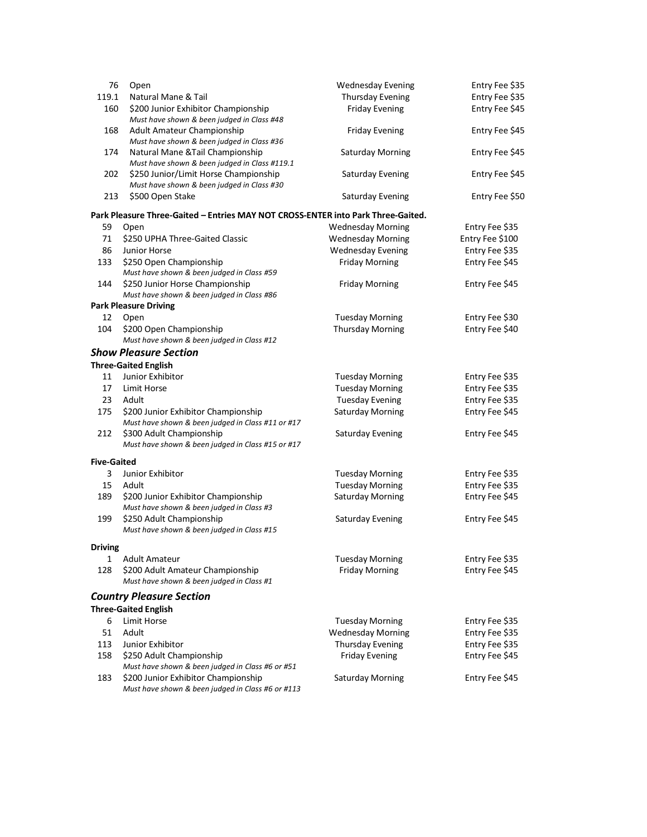| 76                 | Open                                                                                     | <b>Wednesday Evening</b> | Entry Fee \$35  |
|--------------------|------------------------------------------------------------------------------------------|--------------------------|-----------------|
| 119.1              | Natural Mane & Tail                                                                      | Thursday Evening         | Entry Fee \$35  |
| 160                | \$200 Junior Exhibitor Championship<br>Must have shown & been judged in Class #48        | <b>Friday Evening</b>    | Entry Fee \$45  |
| 168                | Adult Amateur Championship<br>Must have shown & been judged in Class #36                 | <b>Friday Evening</b>    | Entry Fee \$45  |
| 174                | Natural Mane & Tail Championship<br>Must have shown & been judged in Class #119.1        | <b>Saturday Morning</b>  | Entry Fee \$45  |
| 202                | \$250 Junior/Limit Horse Championship<br>Must have shown & been judged in Class #30      | Saturday Evening         | Entry Fee \$45  |
| 213                | \$500 Open Stake                                                                         | Saturday Evening         | Entry Fee \$50  |
|                    | Park Pleasure Three-Gaited - Entries MAY NOT CROSS-ENTER into Park Three-Gaited.         |                          |                 |
| 59                 | Open                                                                                     | <b>Wednesday Morning</b> | Entry Fee \$35  |
| 71                 | \$250 UPHA Three-Gaited Classic                                                          | <b>Wednesday Morning</b> | Entry Fee \$100 |
| 86                 | Junior Horse                                                                             | <b>Wednesday Evening</b> | Entry Fee \$35  |
| 133                | \$250 Open Championship<br>Must have shown & been judged in Class #59                    | <b>Friday Morning</b>    | Entry Fee \$45  |
| 144                | \$250 Junior Horse Championship                                                          | <b>Friday Morning</b>    | Entry Fee \$45  |
|                    | Must have shown & been judged in Class #86                                               |                          |                 |
|                    | <b>Park Pleasure Driving</b>                                                             |                          |                 |
| 12                 | Open                                                                                     | <b>Tuesday Morning</b>   | Entry Fee \$30  |
| 104                | \$200 Open Championship                                                                  | <b>Thursday Morning</b>  | Entry Fee \$40  |
|                    | Must have shown & been judged in Class #12                                               |                          |                 |
|                    | <b>Show Pleasure Section</b>                                                             |                          |                 |
|                    | <b>Three-Gaited English</b>                                                              |                          |                 |
| 11                 | Junior Exhibitor                                                                         | <b>Tuesday Morning</b>   | Entry Fee \$35  |
| 17                 | Limit Horse                                                                              | <b>Tuesday Morning</b>   | Entry Fee \$35  |
| 23                 | Adult                                                                                    | <b>Tuesday Evening</b>   | Entry Fee \$35  |
| 175                | \$200 Junior Exhibitor Championship                                                      | <b>Saturday Morning</b>  | Entry Fee \$45  |
|                    | Must have shown & been judged in Class #11 or #17                                        |                          |                 |
| 212                | \$300 Adult Championship<br>Must have shown & been judged in Class #15 or #17            | Saturday Evening         | Entry Fee \$45  |
| <b>Five-Gaited</b> |                                                                                          |                          |                 |
| 3                  | Junior Exhibitor                                                                         | <b>Tuesday Morning</b>   | Entry Fee \$35  |
| 15                 | Adult                                                                                    | <b>Tuesday Morning</b>   | Entry Fee \$35  |
| 189                | \$200 Junior Exhibitor Championship<br>Must have shown & been judged in Class #3         | <b>Saturday Morning</b>  | Entry Fee \$45  |
| 199                | \$250 Adult Championship<br>Must have shown & been judged in Class #15                   | Saturday Evening         | Entry Fee \$45  |
| <b>Driving</b>     |                                                                                          |                          |                 |
| 1                  | <b>Adult Amateur</b>                                                                     | <b>Tuesday Morning</b>   | Entry Fee \$35  |
| 128                | \$200 Adult Amateur Championship                                                         | <b>Friday Morning</b>    | Entry Fee \$45  |
|                    | Must have shown & been judged in Class #1                                                |                          |                 |
|                    | <b>Country Pleasure Section</b>                                                          |                          |                 |
|                    | <b>Three-Gaited English</b>                                                              |                          |                 |
| 6                  | Limit Horse                                                                              | <b>Tuesday Morning</b>   | Entry Fee \$35  |
| 51                 | Adult                                                                                    | <b>Wednesday Morning</b> | Entry Fee \$35  |
| 113                | Junior Exhibitor                                                                         | <b>Thursday Evening</b>  | Entry Fee \$35  |
| 158                | \$250 Adult Championship                                                                 | <b>Friday Evening</b>    | Entry Fee \$45  |
|                    | Must have shown & been judged in Class #6 or #51                                         |                          |                 |
| 183                | \$200 Junior Exhibitor Championship<br>Must have shown & been judged in Class #6 or #113 | <b>Saturday Morning</b>  | Entry Fee \$45  |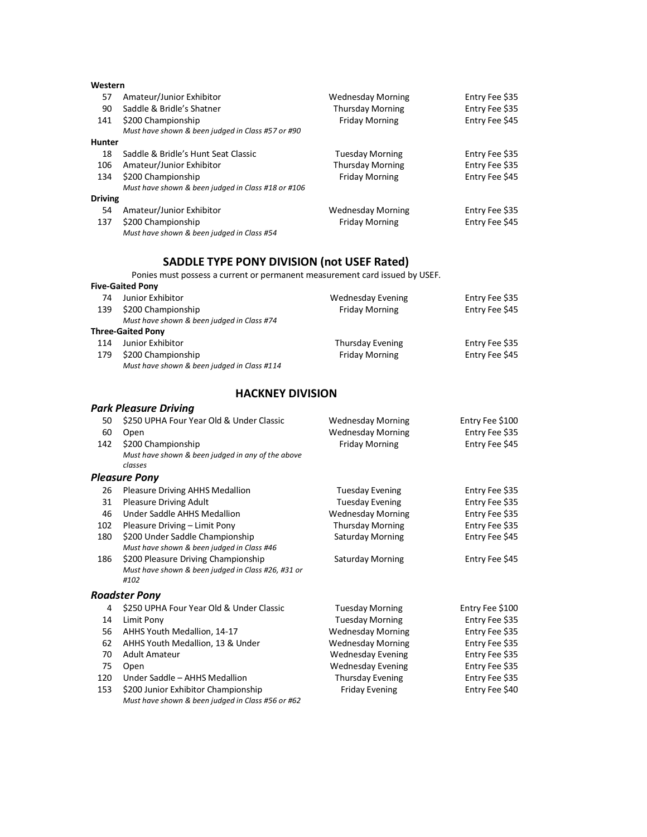| 57             | Amateur/Junior Exhibitor                           | <b>Wednesday Morning</b> | Entry Fee \$35 |
|----------------|----------------------------------------------------|--------------------------|----------------|
| 90             | Saddle & Bridle's Shatner                          | <b>Thursday Morning</b>  | Entry Fee \$35 |
| 141            | \$200 Championship                                 | <b>Friday Morning</b>    | Entry Fee \$45 |
|                | Must have shown & been judged in Class #57 or #90  |                          |                |
| <b>Hunter</b>  |                                                    |                          |                |
| 18             | Saddle & Bridle's Hunt Seat Classic                | <b>Tuesday Morning</b>   | Entry Fee \$35 |
| 106            | Amateur/Junior Exhibitor                           | <b>Thursday Morning</b>  | Entry Fee \$35 |
| 134            | \$200 Championship                                 | <b>Friday Morning</b>    | Entry Fee \$45 |
|                | Must have shown & been judged in Class #18 or #106 |                          |                |
| <b>Driving</b> |                                                    |                          |                |
| 54             | Amateur/Junior Exhibitor                           | <b>Wednesday Morning</b> | Entry Fee \$35 |
| 137            | \$200 Championship                                 | <b>Friday Morning</b>    | Entry Fee \$45 |
|                | Must have shown & been judged in Class #54         |                          |                |

#### **SADDLE TYPE PONY DIVISION (not USEF Rated)**

Ponies must possess a current or permanent measurement card issued by USEF.

#### **Five‐Gaited Pony**

| 74  | Junior Exhibitor                            | Wednesday Evening       | Entry Fee \$35 |
|-----|---------------------------------------------|-------------------------|----------------|
| 139 | \$200 Championship                          | <b>Friday Morning</b>   | Entry Fee \$45 |
|     | Must have shown & been judged in Class #74  |                         |                |
|     | <b>Three-Gaited Pony</b>                    |                         |                |
| 114 | Junior Exhibitor                            | <b>Thursday Evening</b> | Entry Fee \$35 |
| 179 | \$200 Championship                          | <b>Friday Morning</b>   | Entry Fee \$45 |
|     | Must have shown & been judged in Class #114 |                         |                |

#### **HACKNEY DIVISION**

#### *Park Pleasure Driving*

| 50  | \$250 UPHA Four Year Old & Under Classic           | <b>Wednesday Morning</b> | Entry Fee \$100 |
|-----|----------------------------------------------------|--------------------------|-----------------|
| 60  | Open                                               | <b>Wednesday Morning</b> | Entry Fee \$35  |
| 142 | \$200 Championship                                 | <b>Friday Morning</b>    | Entry Fee \$45  |
|     | Must have shown & been judged in any of the above  |                          |                 |
|     | classes                                            |                          |                 |
|     | Pleasure Pony                                      |                          |                 |
| 26  | Pleasure Driving AHHS Medallion                    | <b>Tuesday Evening</b>   | Entry Fee \$35  |
| 31  | <b>Pleasure Driving Adult</b>                      | <b>Tuesday Evening</b>   | Entry Fee \$35  |
| 46  | Under Saddle AHHS Medallion                        | <b>Wednesday Morning</b> | Entry Fee \$35  |
| 102 | Pleasure Driving - Limit Pony                      | <b>Thursday Morning</b>  | Entry Fee \$35  |
| 180 | \$200 Under Saddle Championship                    | <b>Saturday Morning</b>  | Entry Fee \$45  |
|     | Must have shown & been judged in Class #46         |                          |                 |
| 186 | \$200 Pleasure Driving Championship                | <b>Saturday Morning</b>  | Entry Fee \$45  |
|     | Must have shown & been judged in Class #26, #31 or |                          |                 |
|     | #102                                               |                          |                 |
|     | Roadster Pony                                      |                          |                 |
| 4   | \$250 UPHA Four Year Old & Under Classic           | <b>Tuesday Morning</b>   | Entry Fee \$100 |
| 14  | Limit Pony                                         | <b>Tuesday Morning</b>   | Entry Fee \$35  |
| 56  | AHHS Youth Medallion, 14-17                        | <b>Wednesday Morning</b> | Entry Fee \$35  |
| 62  | AHHS Youth Medallion, 13 & Under                   | <b>Wednesday Morning</b> | Entry Fee \$35  |
| 70  | <b>Adult Amateur</b>                               | <b>Wednesday Evening</b> | Entry Fee \$35  |
| 75  | Open                                               | <b>Wednesday Evening</b> | Entry Fee \$35  |
| 120 | Under Saddle - AHHS Medallion                      | <b>Thursday Evening</b>  | Entry Fee \$35  |
| 153 | \$200 Junior Exhibitor Championship                | <b>Friday Evening</b>    | Entry Fee \$40  |

- 
- 153 \$200 Junior Exhibitor Championship *Must have shown & been judged in Class #56 or #62*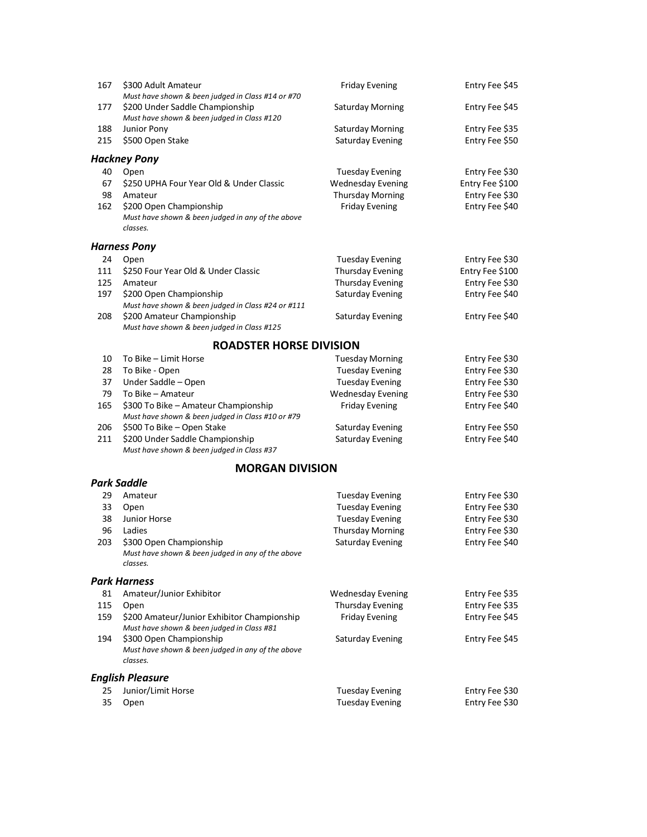| 167 | \$300 Adult Amateur<br>Must have shown & been judged in Class #14 or #70                  | <b>Friday Evening</b>    | Entry Fee \$45  |
|-----|-------------------------------------------------------------------------------------------|--------------------------|-----------------|
| 177 | \$200 Under Saddle Championship<br>Must have shown & been judged in Class #120            | <b>Saturday Morning</b>  | Entry Fee \$45  |
| 188 | Junior Pony                                                                               | <b>Saturday Morning</b>  | Entry Fee \$35  |
| 215 | \$500 Open Stake                                                                          | Saturday Evening         | Entry Fee \$50  |
|     | <b>Hackney Pony</b>                                                                       |                          |                 |
| 40  | Open                                                                                      | <b>Tuesday Evening</b>   | Entry Fee \$30  |
| 67  | \$250 UPHA Four Year Old & Under Classic                                                  | <b>Wednesday Evening</b> | Entry Fee \$100 |
| 98  | Amateur                                                                                   | <b>Thursday Morning</b>  | Entry Fee \$30  |
| 162 | \$200 Open Championship<br>Must have shown & been judged in any of the above<br>classes.  | <b>Friday Evening</b>    | Entry Fee \$40  |
|     | <b>Harness Pony</b>                                                                       |                          |                 |
| 24  | Open                                                                                      | <b>Tuesday Evening</b>   | Entry Fee \$30  |
| 111 | \$250 Four Year Old & Under Classic                                                       | Thursday Evening         | Entry Fee \$100 |
| 125 | Amateur                                                                                   | Thursday Evening         | Entry Fee \$30  |
| 197 | \$200 Open Championship                                                                   | Saturday Evening         | Entry Fee \$40  |
|     | Must have shown & been judged in Class #24 or #111                                        |                          |                 |
| 208 | \$200 Amateur Championship<br>Must have shown & been judged in Class #125                 | Saturday Evening         | Entry Fee \$40  |
|     | <b>ROADSTER HORSE DIVISION</b>                                                            |                          |                 |
| 10  | To Bike - Limit Horse                                                                     | <b>Tuesday Morning</b>   | Entry Fee \$30  |
| 28  | To Bike - Open                                                                            | <b>Tuesday Evening</b>   | Entry Fee \$30  |
| 37  | Under Saddle - Open                                                                       | <b>Tuesday Evening</b>   | Entry Fee \$30  |
| 79  | To Bike - Amateur                                                                         | <b>Wednesday Evening</b> | Entry Fee \$30  |
| 165 | \$300 To Bike - Amateur Championship                                                      | <b>Friday Evening</b>    | Entry Fee \$40  |
|     | Must have shown & been judged in Class #10 or #79                                         |                          |                 |
| 206 | \$500 To Bike - Open Stake                                                                | Saturday Evening         | Entry Fee \$50  |
| 211 | \$200 Under Saddle Championship<br>Must have shown & been judged in Class #37             | Saturday Evening         | Entry Fee \$40  |
|     | <b>MORGAN DIVISION</b>                                                                    |                          |                 |
|     | <b>Park Saddle</b>                                                                        |                          |                 |
| 29  | Amateur                                                                                   | <b>Tuesday Evening</b>   | Entry Fee \$30  |
| 33  | Open                                                                                      | <b>Tuesday Evening</b>   | Entry Fee \$30  |
| 38  | Junior Horse                                                                              | <b>Tuesday Evening</b>   | Entry Fee \$30  |
| 96  | Ladies                                                                                    | <b>Thursday Morning</b>  | Entry Fee \$30  |
| 203 | \$300 Open Championship<br>Must have shown & been judged in any of the above<br>classes.  | Saturday Evening         | Entry Fee \$40  |
|     | <b>Park Harness</b>                                                                       |                          |                 |
| 81  | Amateur/Junior Exhibitor                                                                  | <b>Wednesday Evening</b> | Entry Fee \$35  |
| 115 | Open                                                                                      | Thursday Evening         | Entry Fee \$35  |
| 159 | \$200 Amateur/Junior Exhibitor Championship<br>Must have shown & been judged in Class #81 | <b>Friday Evening</b>    | Entry Fee \$45  |
| 194 | \$300 Open Championship<br>Must have shown & been judged in any of the above<br>classes.  | Saturday Evening         | Entry Fee \$45  |
|     | <b>English Pleasure</b>                                                                   |                          |                 |
| 25  | Junior/Limit Horse                                                                        | <b>Tuesday Evening</b>   | Entry Fee \$30  |
| 35  | Open                                                                                      | <b>Tuesday Evening</b>   | Entry Fee \$30  |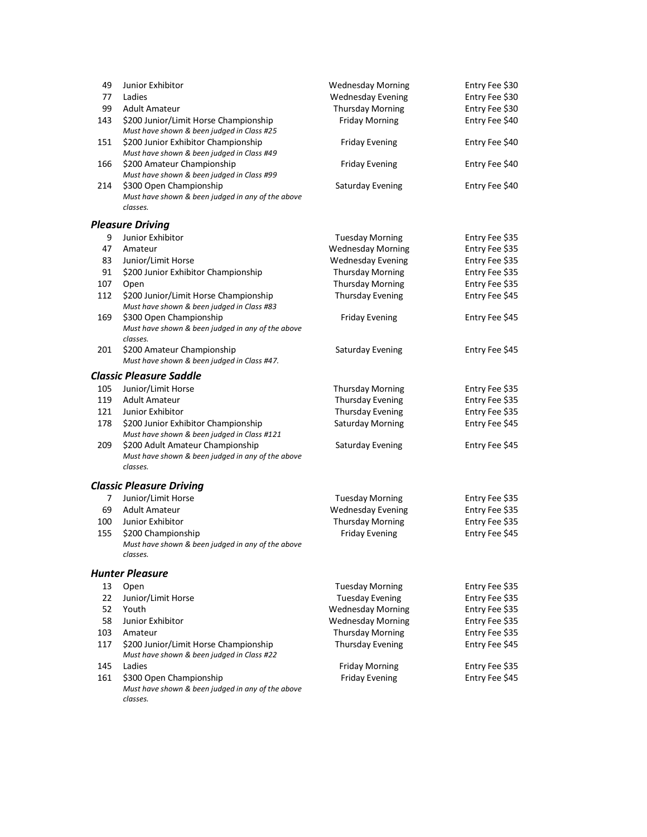| 49  | Junior Exhibitor                                                                                  | <b>Wednesday Morning</b> | Entry Fee \$30 |
|-----|---------------------------------------------------------------------------------------------------|--------------------------|----------------|
| 77  | Ladies                                                                                            | <b>Wednesday Evening</b> | Entry Fee \$30 |
| 99  | <b>Adult Amateur</b>                                                                              | <b>Thursday Morning</b>  | Entry Fee \$30 |
| 143 | \$200 Junior/Limit Horse Championship<br>Must have shown & been judged in Class #25               | <b>Friday Morning</b>    | Entry Fee \$40 |
| 151 | \$200 Junior Exhibitor Championship<br>Must have shown & been judged in Class #49                 | <b>Friday Evening</b>    | Entry Fee \$40 |
| 166 | \$200 Amateur Championship<br>Must have shown & been judged in Class #99                          | <b>Friday Evening</b>    | Entry Fee \$40 |
| 214 | \$300 Open Championship<br>Must have shown & been judged in any of the above<br>classes.          | Saturday Evening         | Entry Fee \$40 |
|     | <b>Pleasure Driving</b>                                                                           |                          |                |
| 9   | Junior Exhibitor                                                                                  | <b>Tuesday Morning</b>   | Entry Fee \$35 |
| 47  | Amateur                                                                                           | <b>Wednesday Morning</b> | Entry Fee \$35 |
| 83  | Junior/Limit Horse                                                                                | <b>Wednesday Evening</b> | Entry Fee \$35 |
| 91  | \$200 Junior Exhibitor Championship                                                               | <b>Thursday Morning</b>  | Entry Fee \$35 |
| 107 | Open                                                                                              | <b>Thursday Morning</b>  | Entry Fee \$35 |
| 112 | \$200 Junior/Limit Horse Championship<br>Must have shown & been judged in Class #83               | Thursday Evening         | Entry Fee \$45 |
| 169 | \$300 Open Championship<br>Must have shown & been judged in any of the above<br>classes.          | <b>Friday Evening</b>    | Entry Fee \$45 |
| 201 | \$200 Amateur Championship<br>Must have shown & been judged in Class #47.                         | Saturday Evening         | Entry Fee \$45 |
|     | <b>Classic Pleasure Saddle</b>                                                                    |                          |                |
| 105 | Junior/Limit Horse                                                                                | <b>Thursday Morning</b>  | Entry Fee \$35 |
| 119 | <b>Adult Amateur</b>                                                                              | Thursday Evening         | Entry Fee \$35 |
| 121 | Junior Exhibitor                                                                                  | Thursday Evening         | Entry Fee \$35 |
| 178 | \$200 Junior Exhibitor Championship<br>Must have shown & been judged in Class #121                | <b>Saturday Morning</b>  | Entry Fee \$45 |
| 209 | \$200 Adult Amateur Championship<br>Must have shown & been judged in any of the above<br>classes. | Saturday Evening         | Entry Fee \$45 |
|     | <b>Classic Pleasure Driving</b>                                                                   |                          |                |
| 7   | Junior/Limit Horse                                                                                | <b>Tuesday Morning</b>   | Entry Fee \$35 |
| 69  | <b>Adult Amateur</b>                                                                              | <b>Wednesday Evening</b> | Entry Fee \$35 |
| 100 | Junior Exhibitor                                                                                  | <b>Thursday Morning</b>  | Entry Fee \$35 |
| 155 | \$200 Championship                                                                                | <b>Friday Evening</b>    | Entry Fee \$45 |
|     | Must have shown & been judged in any of the above<br>classes.                                     |                          |                |
|     | <b>Hunter Pleasure</b>                                                                            |                          |                |
| 13  | Open                                                                                              | <b>Tuesday Morning</b>   | Entry Fee \$35 |
| 22  | Junior/Limit Horse                                                                                | <b>Tuesday Evening</b>   | Entry Fee \$35 |
| 52  | Youth                                                                                             | <b>Wednesday Morning</b> | Entry Fee \$35 |
| 58  | Junior Exhibitor                                                                                  | <b>Wednesday Morning</b> | Entry Fee \$35 |
| 103 | Amateur                                                                                           | <b>Thursday Morning</b>  | Entry Fee \$35 |
| 117 | \$200 Junior/Limit Horse Championship<br>Must have shown & been judged in Class #22               | <b>Thursday Evening</b>  | Entry Fee \$45 |
| 145 | Ladies                                                                                            | <b>Friday Morning</b>    | Entry Fee \$35 |
| 161 | \$300 Open Championship<br>Must have shown & been judged in any of the above<br>classes.          | <b>Friday Evening</b>    | Entry Fee \$45 |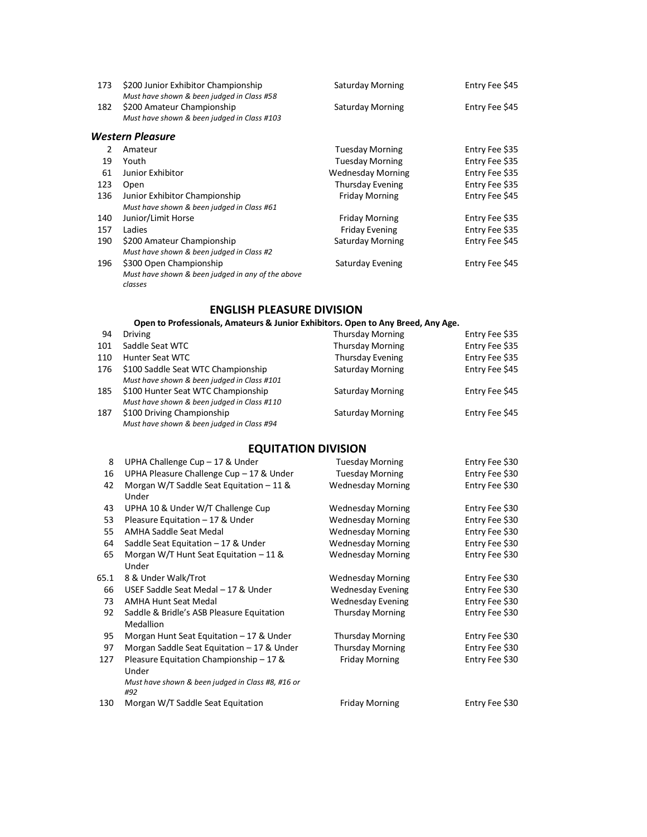| 173           | \$200 Junior Exhibitor Championship<br>Must have shown & been judged in Class #58 | Saturday Morning         | Entry Fee \$45 |
|---------------|-----------------------------------------------------------------------------------|--------------------------|----------------|
| 182           | \$200 Amateur Championship<br>Must have shown & been judged in Class #103         | Saturday Morning         | Entry Fee \$45 |
|               | <b>Western Pleasure</b>                                                           |                          |                |
| $\mathcal{P}$ | Amateur                                                                           | <b>Tuesday Morning</b>   | Entry Fee \$35 |
| 19            | Youth                                                                             | <b>Tuesday Morning</b>   | Entry Fee \$35 |
| 61            | Junior Exhibitor                                                                  | <b>Wednesday Morning</b> | Entry Fee \$35 |
| 123           | Open                                                                              | <b>Thursday Evening</b>  | Entry Fee \$35 |
| 136           | Junior Exhibitor Championship                                                     | <b>Friday Morning</b>    | Entry Fee \$45 |
|               | Must have shown & been judged in Class #61                                        |                          |                |
| 140           | Junior/Limit Horse                                                                | <b>Friday Morning</b>    | Entry Fee \$35 |
| 157           | Ladies                                                                            | <b>Friday Evening</b>    | Entry Fee \$35 |
| 190           | \$200 Amateur Championship                                                        | <b>Saturday Morning</b>  | Entry Fee \$45 |
|               | Must have shown & been judged in Class #2                                         |                          |                |
| 196           | \$300 Open Championship                                                           | Saturday Evening         | Entry Fee \$45 |
|               | Must have shown & been judged in any of the above                                 |                          |                |
|               | classes                                                                           |                          |                |

#### **ENGLISH PLEASURE DIVISION**

#### **Open to Professionals, Amateurs & Junior Exhibitors. Open to Any Breed, Any Age.**

| 94  | <b>Driving</b>                                                                    | <b>Thursday Morning</b> | Entry Fee \$35 |
|-----|-----------------------------------------------------------------------------------|-------------------------|----------------|
| 101 | Saddle Seat WTC                                                                   | <b>Thursday Morning</b> | Entry Fee \$35 |
| 110 | Hunter Seat WTC                                                                   | <b>Thursday Evening</b> | Entry Fee \$35 |
| 176 | \$100 Saddle Seat WTC Championship<br>Must have shown & been judged in Class #101 | <b>Saturday Morning</b> | Entry Fee \$45 |
| 185 | \$100 Hunter Seat WTC Championship<br>Must have shown & been judged in Class #110 | Saturday Morning        | Entry Fee \$45 |
| 187 | \$100 Driving Championship<br>Must have shown & been judged in Class #94          | <b>Saturday Morning</b> | Entry Fee \$45 |

#### **EQUITATION DIVISION**

| 8    | UPHA Challenge Cup - 17 & Under                                                                       | <b>Tuesday Morning</b>   | Entry Fee \$30 |
|------|-------------------------------------------------------------------------------------------------------|--------------------------|----------------|
| 16   | UPHA Pleasure Challenge Cup - 17 & Under                                                              | <b>Tuesday Morning</b>   | Entry Fee \$30 |
| 42   | Morgan W/T Saddle Seat Equitation - 11 &<br>Under                                                     | <b>Wednesday Morning</b> | Entry Fee \$30 |
| 43   | UPHA 10 & Under W/T Challenge Cup                                                                     | <b>Wednesday Morning</b> | Entry Fee \$30 |
| 53   | Pleasure Equitation - 17 & Under                                                                      | <b>Wednesday Morning</b> | Entry Fee \$30 |
| 55   | AMHA Saddle Seat Medal                                                                                | <b>Wednesday Morning</b> | Entry Fee \$30 |
| 64   | Saddle Seat Equitation - 17 & Under                                                                   | <b>Wednesday Morning</b> | Entry Fee \$30 |
| 65   | Morgan W/T Hunt Seat Equitation $-11$ &<br>Under                                                      | <b>Wednesday Morning</b> | Entry Fee \$30 |
| 65.1 | 8 & Under Walk/Trot                                                                                   | <b>Wednesday Morning</b> | Entry Fee \$30 |
| 66   | USEF Saddle Seat Medal - 17 & Under                                                                   | <b>Wednesday Evening</b> | Entry Fee \$30 |
| 73   | <b>AMHA Hunt Seat Medal</b>                                                                           | <b>Wednesday Evening</b> | Entry Fee \$30 |
| 92   | Saddle & Bridle's ASB Pleasure Equitation<br>Medallion                                                | <b>Thursday Morning</b>  | Entry Fee \$30 |
| 95   | Morgan Hunt Seat Equitation $-17$ & Under                                                             | <b>Thursday Morning</b>  | Entry Fee \$30 |
| 97   | Morgan Saddle Seat Equitation - 17 & Under                                                            | <b>Thursday Morning</b>  | Entry Fee \$30 |
| 127  | Pleasure Equitation Championship - 17 &<br>Under<br>Must have shown & been judged in Class #8, #16 or | <b>Friday Morning</b>    | Entry Fee \$30 |
|      | #92                                                                                                   |                          |                |
| 130  | Morgan W/T Saddle Seat Equitation                                                                     | <b>Friday Morning</b>    | Entry Fee \$30 |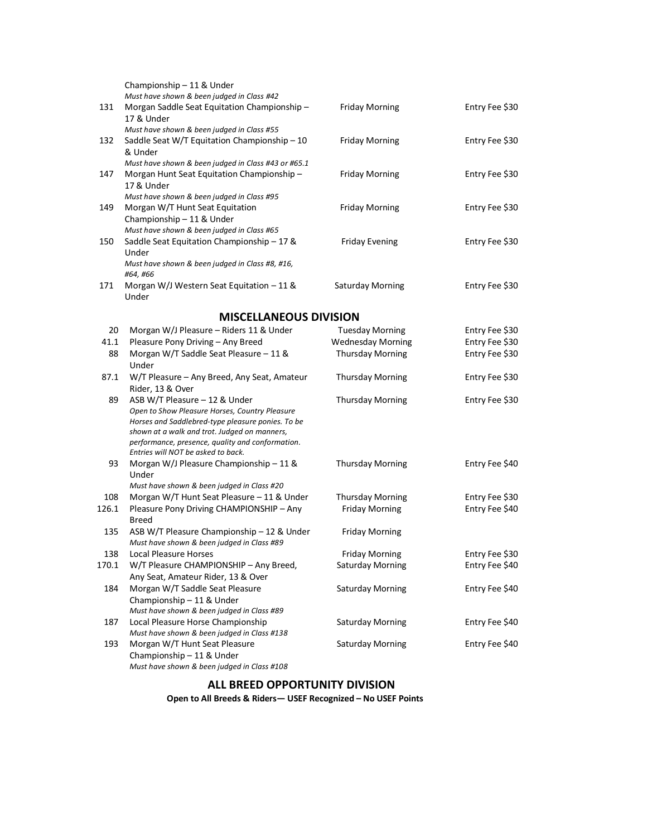|       | Championship - 11 & Under                                                                           |                          |                |
|-------|-----------------------------------------------------------------------------------------------------|--------------------------|----------------|
|       | Must have shown & been judged in Class #42                                                          |                          |                |
| 131   | Morgan Saddle Seat Equitation Championship -                                                        | <b>Friday Morning</b>    | Entry Fee \$30 |
|       | 17 & Under                                                                                          |                          |                |
|       | Must have shown & been judged in Class #55                                                          |                          |                |
| 132   | Saddle Seat W/T Equitation Championship-10                                                          | <b>Friday Morning</b>    | Entry Fee \$30 |
|       | & Under                                                                                             |                          |                |
|       | Must have shown & been judged in Class #43 or #65.1                                                 |                          |                |
| 147   | Morgan Hunt Seat Equitation Championship-                                                           | <b>Friday Morning</b>    | Entry Fee \$30 |
|       | 17 & Under                                                                                          |                          |                |
|       | Must have shown & been judged in Class #95                                                          |                          |                |
| 149   | Morgan W/T Hunt Seat Equitation                                                                     | <b>Friday Morning</b>    | Entry Fee \$30 |
|       | Championship-11 & Under                                                                             |                          |                |
|       | Must have shown & been judged in Class #65                                                          |                          |                |
| 150   | Saddle Seat Equitation Championship - 17 &                                                          | <b>Friday Evening</b>    | Entry Fee \$30 |
|       | Under                                                                                               |                          |                |
|       | Must have shown & been judged in Class #8, #16,                                                     |                          |                |
|       | #64, #66                                                                                            |                          |                |
| 171   | Morgan W/J Western Seat Equitation $-11$ &                                                          | <b>Saturday Morning</b>  | Entry Fee \$30 |
|       | Under                                                                                               |                          |                |
|       | <b>MISCELLANEOUS DIVISION</b>                                                                       |                          |                |
|       |                                                                                                     |                          |                |
| 20    | Morgan W/J Pleasure - Riders 11 & Under                                                             | <b>Tuesday Morning</b>   | Entry Fee \$30 |
| 41.1  | Pleasure Pony Driving - Any Breed                                                                   | <b>Wednesday Morning</b> | Entry Fee \$30 |
| 88    | Morgan W/T Saddle Seat Pleasure - 11 &                                                              | <b>Thursday Morning</b>  | Entry Fee \$30 |
|       | Under                                                                                               |                          |                |
| 87.1  | W/T Pleasure - Any Breed, Any Seat, Amateur                                                         | <b>Thursday Morning</b>  | Entry Fee \$30 |
|       | Rider, 13 & Over                                                                                    |                          |                |
| 89    | ASB W/T Pleasure - 12 & Under                                                                       | <b>Thursday Morning</b>  | Entry Fee \$30 |
|       | Open to Show Pleasure Horses, Country Pleasure<br>Horses and Saddlebred-type pleasure ponies. To be |                          |                |
|       | shown at a walk and trot. Judged on manners,                                                        |                          |                |
|       | performance, presence, quality and conformation.                                                    |                          |                |
|       | Entries will NOT be asked to back.                                                                  |                          |                |
| 93    | Morgan W/J Pleasure Championship - 11 &                                                             | <b>Thursday Morning</b>  | Entry Fee \$40 |
|       | Under                                                                                               |                          |                |
|       | Must have shown & been judged in Class #20                                                          |                          |                |
| 108   | Morgan W/T Hunt Seat Pleasure - 11 & Under                                                          | <b>Thursday Morning</b>  | Entry Fee \$30 |
| 126.1 | Pleasure Pony Driving CHAMPIONSHIP - Any                                                            | <b>Friday Morning</b>    | Entry Fee \$40 |
|       | <b>Breed</b>                                                                                        |                          |                |
| 135   | ASB W/T Pleasure Championship - 12 & Under                                                          | <b>Friday Morning</b>    |                |
|       | Must have shown & been judged in Class #89                                                          |                          |                |
| 138   | Local Pleasure Horses                                                                               | Friday Morning           | Entry Fee \$30 |
| 170.1 | W/T Pleasure CHAMPIONSHIP - Any Breed,                                                              | <b>Saturday Morning</b>  | Entry Fee \$40 |
|       | Any Seat, Amateur Rider, 13 & Over                                                                  |                          |                |
| 184   | Morgan W/T Saddle Seat Pleasure                                                                     | <b>Saturday Morning</b>  | Entry Fee \$40 |
|       | Championship-11 & Under                                                                             |                          |                |
|       | Must have shown & been judged in Class #89                                                          |                          |                |
| 187   | Local Pleasure Horse Championship                                                                   | <b>Saturday Morning</b>  | Entry Fee \$40 |
|       | Must have shown & been judged in Class #138                                                         |                          |                |
| 193   | Morgan W/T Hunt Seat Pleasure                                                                       | <b>Saturday Morning</b>  | Entry Fee \$40 |
|       | Championship-11 & Under                                                                             |                          |                |
|       | Must have shown & been judged in Class #108                                                         |                          |                |

#### **ALL BREED OPPORTUNITY DIVISION**

**Open to All Breeds & Riders— USEF Recognized – No USEF Points**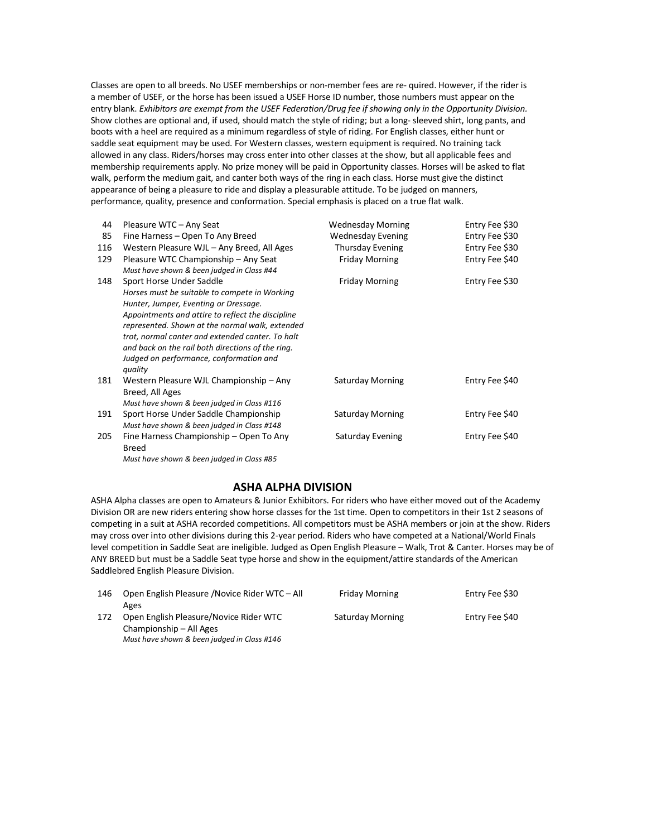Classes are open to all breeds. No USEF memberships or non‐member fees are re‐ quired. However, if the rider is a member of USEF, or the horse has been issued a USEF Horse ID number, those numbers must appear on the entry blank. *Exhibitors are exempt from the USEF Federation/Drug fee if showing only in the Opportunity Division.*  Show clothes are optional and, if used, should match the style of riding; but a long‐ sleeved shirt, long pants, and boots with a heel are required as a minimum regardless of style of riding. For English classes, either hunt or saddle seat equipment may be used. For Western classes, western equipment is required. No training tack allowed in any class. Riders/horses may cross enter into other classes at the show, but all applicable fees and membership requirements apply. No prize money will be paid in Opportunity classes. Horses will be asked to flat walk, perform the medium gait, and canter both ways of the ring in each class. Horse must give the distinct appearance of being a pleasure to ride and display a pleasurable attitude. To be judged on manners, performance, quality, presence and conformation. Special emphasis is placed on a true flat walk.

| 44  | Pleasure WTC - Any Seat                                                                                                                                                                                                                                                                                                                                                                   | <b>Wednesday Morning</b> | Entry Fee \$30 |
|-----|-------------------------------------------------------------------------------------------------------------------------------------------------------------------------------------------------------------------------------------------------------------------------------------------------------------------------------------------------------------------------------------------|--------------------------|----------------|
| 85  | Fine Harness - Open To Any Breed                                                                                                                                                                                                                                                                                                                                                          | <b>Wednesday Evening</b> | Entry Fee \$30 |
| 116 | Western Pleasure WJL - Any Breed, All Ages                                                                                                                                                                                                                                                                                                                                                | <b>Thursday Evening</b>  | Entry Fee \$30 |
| 129 | Pleasure WTC Championship - Any Seat<br>Must have shown & been judged in Class #44                                                                                                                                                                                                                                                                                                        | <b>Friday Morning</b>    | Entry Fee \$40 |
| 148 | Sport Horse Under Saddle<br>Horses must be suitable to compete in Working<br>Hunter, Jumper, Eventing or Dressage.<br>Appointments and attire to reflect the discipline<br>represented. Shown at the normal walk, extended<br>trot, normal canter and extended canter. To halt<br>and back on the rail both directions of the ring.<br>Judged on performance, conformation and<br>quality | <b>Friday Morning</b>    | Entry Fee \$30 |
| 181 | Western Pleasure WJL Championship - Any<br>Breed, All Ages<br>Must have shown & been judged in Class #116                                                                                                                                                                                                                                                                                 | <b>Saturday Morning</b>  | Entry Fee \$40 |
| 191 | Sport Horse Under Saddle Championship<br>Must have shown & been judged in Class #148                                                                                                                                                                                                                                                                                                      | <b>Saturday Morning</b>  | Entry Fee \$40 |
| 205 | Fine Harness Championship – Open To Any<br><b>Breed</b><br>Must have shown & been judged in Class #85                                                                                                                                                                                                                                                                                     | Saturday Evening         | Entry Fee \$40 |

#### **ASHA ALPHA DIVISION**

ASHA Alpha classes are open to Amateurs & Junior Exhibitors. For riders who have either moved out of the Academy Division OR are new riders entering show horse classes for the 1st time. Open to competitors in their 1st 2 seasons of competing in a suit at ASHA recorded competitions. All competitors must be ASHA members or join at the show. Riders may cross over into other divisions during this 2-year period. Riders who have competed at a National/World Finals level competition in Saddle Seat are ineligible. Judged as Open English Pleasure – Walk, Trot & Canter. Horses may be of ANY BREED but must be a Saddle Seat type horse and show in the equipment/attire standards of the American Saddlebred English Pleasure Division.

| 146 | Open English Pleasure /Novice Rider WTC - All | <b>Friday Morning</b> | Entry Fee \$30 |
|-----|-----------------------------------------------|-----------------------|----------------|
|     | Ages                                          |                       |                |
| 172 | Open English Pleasure/Novice Rider WTC        | Saturday Morning      | Entry Fee \$40 |
|     | Championship – All Ages                       |                       |                |
|     | Must have shown & been judged in Class #146   |                       |                |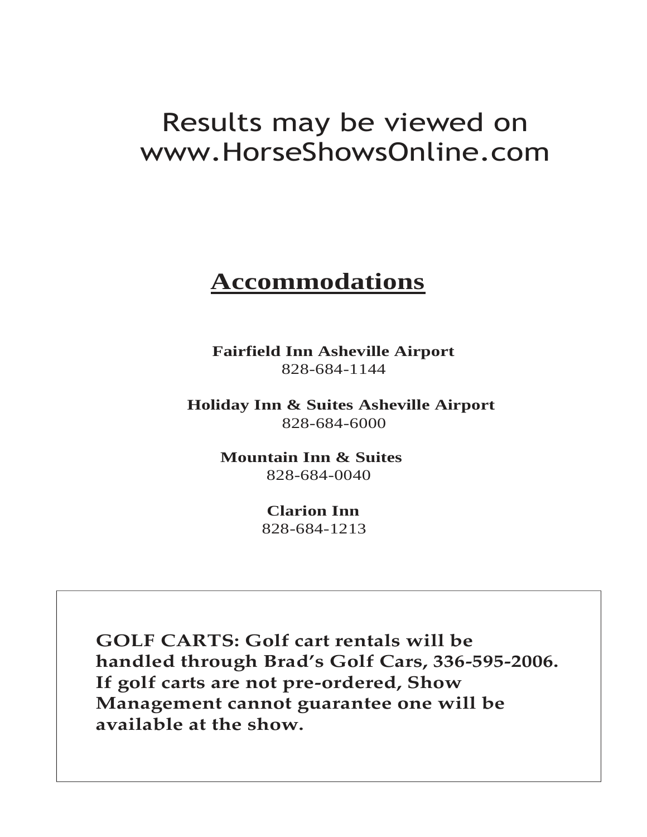# Results may be viewed on www.HorseShowsOnline.com

# **Accommodations**

**Fairfield Inn Asheville Airport** 828-684-1144

 **Holiday Inn & Suites Asheville Airport** 828-684-6000

> **Mountain Inn & Suites** 828-684-0040

> > **Clarion Inn** 828-684-1213

**GOLF CARTS: Golf cart rentals will be handled through Brad's Golf Cars, 336-595-2006. If golf carts are not pre-ordered, Show Management cannot guarantee one will be available at the show.**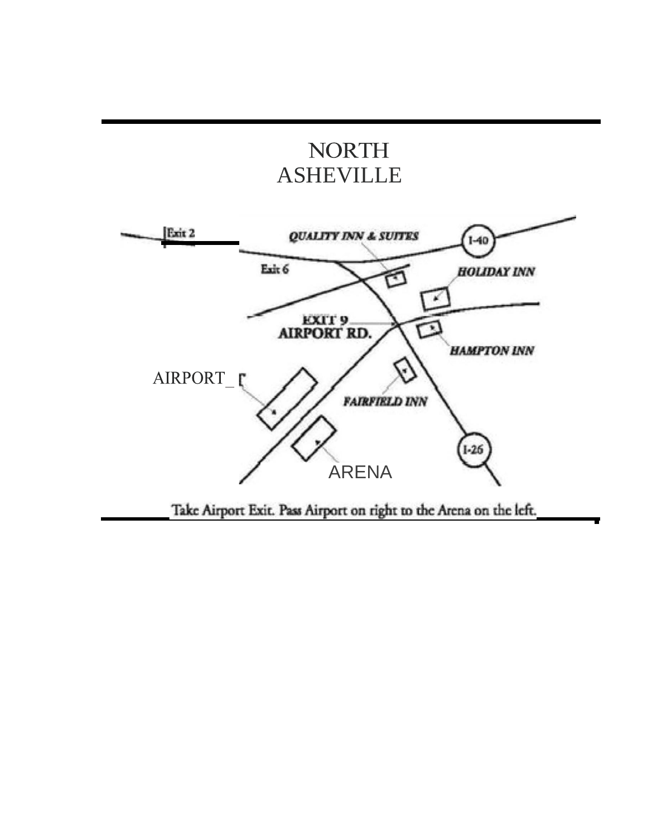# **NORTH** ASHEVILLE

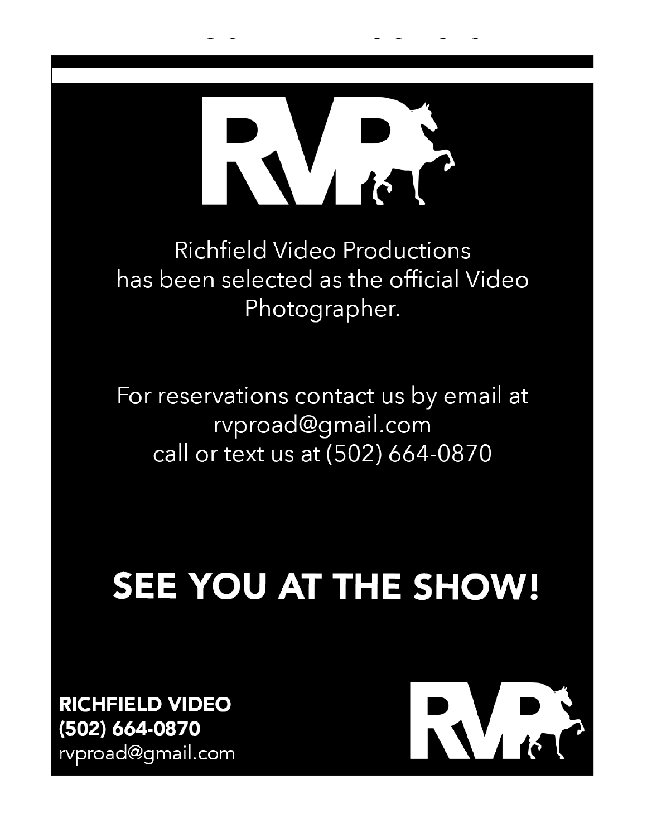

**Richfield Video Productions** has been selected as the official Video Photographer.

For reservations contact us by email at rvproad@gmail.com call or text us at (502) 664-0870

# SEE YOU AT THE SHOW!

**RICHFIELD VIDEO** (502) 664-0870 rvproad@gmail.com

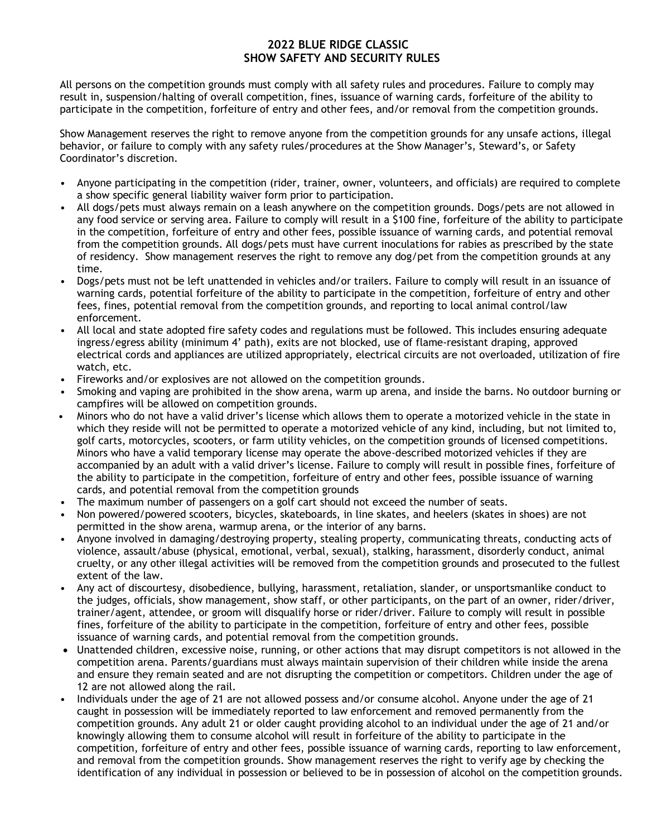#### **2022 BLUE RIDGE CLASSIC SHOW SAFETY AND SECURITY RULES**

All persons on the competition grounds must comply with all safety rules and procedures. Failure to comply may result in, suspension/halting of overall competition, fines, issuance of warning cards, forfeiture of the ability to participate in the competition, forfeiture of entry and other fees, and/or removal from the competition grounds.

Show Management reserves the right to remove anyone from the competition grounds for any unsafe actions, illegal behavior, or failure to comply with any safety rules/procedures at the Show Manager's, Steward's, or Safety Coordinator's discretion.

- Anyone participating in the competition (rider, trainer, owner, volunteers, and officials) are required to complete a show specific general liability waiver form prior to participation.
- All dogs/pets must always remain on a leash anywhere on the competition grounds. Dogs/pets are not allowed in any food service or serving area. Failure to comply will result in a \$100 fine, forfeiture of the ability to participate in the competition, forfeiture of entry and other fees, possible issuance of warning cards, and potential removal from the competition grounds. All dogs/pets must have current inoculations for rabies as prescribed by the state of residency. Show management reserves the right to remove any dog/pet from the competition grounds at any time.
- Dogs/pets must not be left unattended in vehicles and/or trailers. Failure to comply will result in an issuance of warning cards, potential forfeiture of the ability to participate in the competition, forfeiture of entry and other fees, fines, potential removal from the competition grounds, and reporting to local animal control/law enforcement.
- All local and state adopted fire safety codes and regulations must be followed. This includes ensuring adequate ingress/egress ability (minimum 4' path), exits are not blocked, use of flame-resistant draping, approved electrical cords and appliances are utilized appropriately, electrical circuits are not overloaded, utilization of fire watch, etc.
- Fireworks and/or explosives are not allowed on the competition grounds.
- Smoking and vaping are prohibited in the show arena, warm up arena, and inside the barns. No outdoor burning or campfires will be allowed on competition grounds.
- Minors who do not have a valid driver's license which allows them to operate a motorized vehicle in the state in which they reside will not be permitted to operate a motorized vehicle of any kind, including, but not limited to, golf carts, motorcycles, scooters, or farm utility vehicles, on the competition grounds of licensed competitions. Minors who have a valid temporary license may operate the above-described motorized vehicles if they are accompanied by an adult with a valid driver's license. Failure to comply will result in possible fines, forfeiture of the ability to participate in the competition, forfeiture of entry and other fees, possible issuance of warning cards, and potential removal from the competition grounds
- The maximum number of passengers on a golf cart should not exceed the number of seats.
- Non powered/powered scooters, bicycles, skateboards, in line skates, and heelers (skates in shoes) are not permitted in the show arena, warmup arena, or the interior of any barns.
- Anyone involved in damaging/destroying property, stealing property, communicating threats, conducting acts of violence, assault/abuse (physical, emotional, verbal, sexual), stalking, harassment, disorderly conduct, animal cruelty, or any other illegal activities will be removed from the competition grounds and prosecuted to the fullest extent of the law.
- Any act of discourtesy, disobedience, bullying, harassment, retaliation, slander, or unsportsmanlike conduct to the judges, officials, show management, show staff, or other participants, on the part of an owner, rider/driver, trainer/agent, attendee, or groom will disqualify horse or rider/driver. Failure to comply will result in possible fines, forfeiture of the ability to participate in the competition, forfeiture of entry and other fees, possible issuance of warning cards, and potential removal from the competition grounds.
- Unattended children, excessive noise, running, or other actions that may disrupt competitors is not allowed in the competition arena. Parents/guardians must always maintain supervision of their children while inside the arena and ensure they remain seated and are not disrupting the competition or competitors. Children under the age of 12 are not allowed along the rail.
- Individuals under the age of 21 are not allowed possess and/or consume alcohol. Anyone under the age of 21 caught in possession will be immediately reported to law enforcement and removed permanently from the competition grounds. Any adult 21 or older caught providing alcohol to an individual under the age of 21 and/or knowingly allowing them to consume alcohol will result in forfeiture of the ability to participate in the competition, forfeiture of entry and other fees, possible issuance of warning cards, reporting to law enforcement, and removal from the competition grounds. Show management reserves the right to verify age by checking the identification of any individual in possession or believed to be in possession of alcohol on the competition grounds.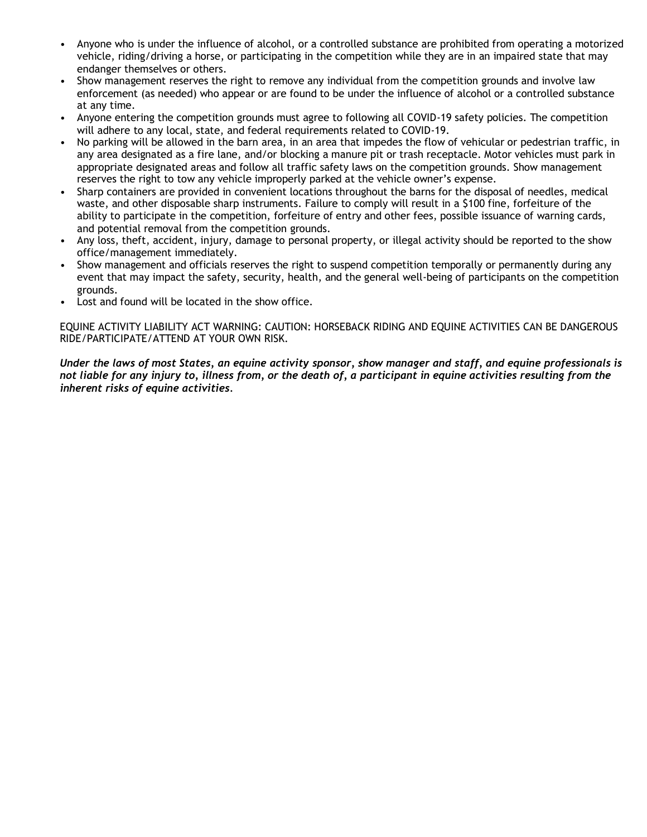- Anyone who is under the influence of alcohol, or a controlled substance are prohibited from operating a motorized vehicle, riding/driving a horse, or participating in the competition while they are in an impaired state that may endanger themselves or others.
- Show management reserves the right to remove any individual from the competition grounds and involve law enforcement (as needed) who appear or are found to be under the influence of alcohol or a controlled substance at any time.
- Anyone entering the competition grounds must agree to following all COVID-19 safety policies. The competition will adhere to any local, state, and federal requirements related to COVID-19.
- No parking will be allowed in the barn area, in an area that impedes the flow of vehicular or pedestrian traffic, in any area designated as a fire lane, and/or blocking a manure pit or trash receptacle. Motor vehicles must park in appropriate designated areas and follow all traffic safety laws on the competition grounds. Show management reserves the right to tow any vehicle improperly parked at the vehicle owner's expense.
- Sharp containers are provided in convenient locations throughout the barns for the disposal of needles, medical waste, and other disposable sharp instruments. Failure to comply will result in a \$100 fine, forfeiture of the ability to participate in the competition, forfeiture of entry and other fees, possible issuance of warning cards, and potential removal from the competition grounds.
- Any loss, theft, accident, injury, damage to personal property, or illegal activity should be reported to the show office/management immediately.
- Show management and officials reserves the right to suspend competition temporally or permanently during any event that may impact the safety, security, health, and the general well-being of participants on the competition grounds.
- Lost and found will be located in the show office.

EQUINE ACTIVITY LIABILITY ACT WARNING: CAUTION: HORSEBACK RIDING AND EQUINE ACTIVITIES CAN BE DANGEROUS RIDE/PARTICIPATE/ATTEND AT YOUR OWN RISK.

*Under the laws of most States, an equine activity sponsor, show manager and staff, and equine professionals is not liable for any injury to, illness from, or the death of, a participant in equine activities resulting from the inherent risks of equine activities.*